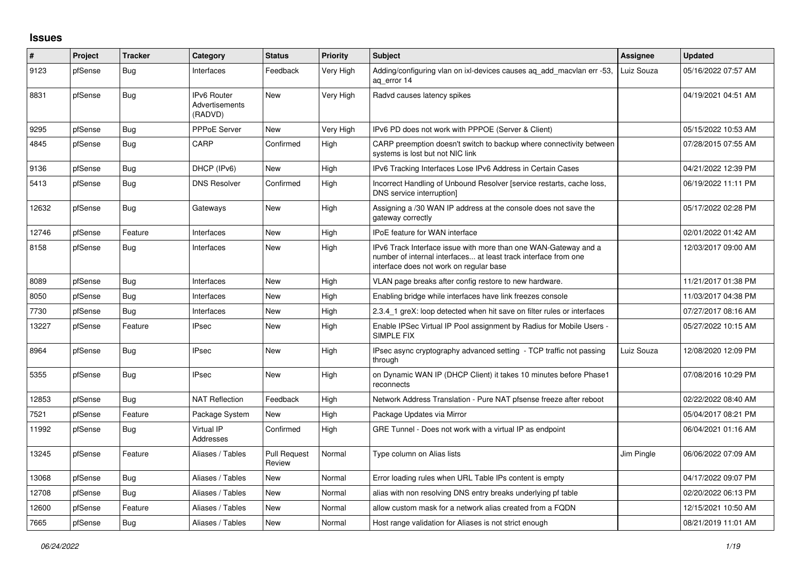## **Issues**

| #     | Project | <b>Tracker</b> | Category                                 | <b>Status</b>                 | <b>Priority</b> | <b>Subject</b>                                                                                                                                                                | Assignee   | <b>Updated</b>      |
|-------|---------|----------------|------------------------------------------|-------------------------------|-----------------|-------------------------------------------------------------------------------------------------------------------------------------------------------------------------------|------------|---------------------|
| 9123  | pfSense | <b>Bug</b>     | Interfaces                               | Feedback                      | Very High       | Adding/configuring vlan on ixl-devices causes aq_add_macvlan err -53,<br>ag error 14                                                                                          | Luiz Souza | 05/16/2022 07:57 AM |
| 8831  | pfSense | Bug            | IPv6 Router<br>Advertisements<br>(RADVD) | <b>New</b>                    | Very High       | Radvd causes latency spikes                                                                                                                                                   |            | 04/19/2021 04:51 AM |
| 9295  | pfSense | Bug            | <b>PPPoE Server</b>                      | <b>New</b>                    | Very High       | IPv6 PD does not work with PPPOE (Server & Client)                                                                                                                            |            | 05/15/2022 10:53 AM |
| 4845  | pfSense | <b>Bug</b>     | CARP                                     | Confirmed                     | High            | CARP preemption doesn't switch to backup where connectivity between<br>systems is lost but not NIC link                                                                       |            | 07/28/2015 07:55 AM |
| 9136  | pfSense | <b>Bug</b>     | DHCP (IPv6)                              | New                           | High            | IPv6 Tracking Interfaces Lose IPv6 Address in Certain Cases                                                                                                                   |            | 04/21/2022 12:39 PM |
| 5413  | pfSense | Bug            | <b>DNS Resolver</b>                      | Confirmed                     | High            | Incorrect Handling of Unbound Resolver [service restarts, cache loss,<br>DNS service interruption]                                                                            |            | 06/19/2022 11:11 PM |
| 12632 | pfSense | <b>Bug</b>     | Gateways                                 | <b>New</b>                    | High            | Assigning a /30 WAN IP address at the console does not save the<br>gateway correctly                                                                                          |            | 05/17/2022 02:28 PM |
| 12746 | pfSense | Feature        | Interfaces                               | New                           | High            | IPoE feature for WAN interface                                                                                                                                                |            | 02/01/2022 01:42 AM |
| 8158  | pfSense | <b>Bug</b>     | Interfaces                               | <b>New</b>                    | High            | IPv6 Track Interface issue with more than one WAN-Gateway and a<br>number of internal interfaces at least track interface from one<br>interface does not work on regular base |            | 12/03/2017 09:00 AM |
| 8089  | pfSense | Bug            | Interfaces                               | New                           | High            | VLAN page breaks after config restore to new hardware.                                                                                                                        |            | 11/21/2017 01:38 PM |
| 8050  | pfSense | Bug            | Interfaces                               | New                           | High            | Enabling bridge while interfaces have link freezes console                                                                                                                    |            | 11/03/2017 04:38 PM |
| 7730  | pfSense | Bug            | Interfaces                               | New                           | High            | 2.3.4 1 greX: loop detected when hit save on filter rules or interfaces                                                                                                       |            | 07/27/2017 08:16 AM |
| 13227 | pfSense | Feature        | <b>IPsec</b>                             | New                           | High            | Enable IPSec Virtual IP Pool assignment by Radius for Mobile Users -<br>SIMPLE FIX                                                                                            |            | 05/27/2022 10:15 AM |
| 8964  | pfSense | <b>Bug</b>     | <b>IPsec</b>                             | New                           | High            | IPsec async cryptography advanced setting - TCP traffic not passing<br>through                                                                                                | Luiz Souza | 12/08/2020 12:09 PM |
| 5355  | pfSense | <b>Bug</b>     | <b>IPsec</b>                             | New                           | High            | on Dynamic WAN IP (DHCP Client) it takes 10 minutes before Phase1<br>reconnects                                                                                               |            | 07/08/2016 10:29 PM |
| 12853 | pfSense | Bug            | <b>NAT Reflection</b>                    | Feedback                      | High            | Network Address Translation - Pure NAT pfsense freeze after reboot                                                                                                            |            | 02/22/2022 08:40 AM |
| 7521  | pfSense | Feature        | Package System                           | New                           | High            | Package Updates via Mirror                                                                                                                                                    |            | 05/04/2017 08:21 PM |
| 11992 | pfSense | <b>Bug</b>     | Virtual IP<br>Addresses                  | Confirmed                     | High            | GRE Tunnel - Does not work with a virtual IP as endpoint                                                                                                                      |            | 06/04/2021 01:16 AM |
| 13245 | pfSense | Feature        | Aliases / Tables                         | <b>Pull Request</b><br>Review | Normal          | Type column on Alias lists                                                                                                                                                    | Jim Pingle | 06/06/2022 07:09 AM |
| 13068 | pfSense | Bug            | Aliases / Tables                         | New                           | Normal          | Error loading rules when URL Table IPs content is empty                                                                                                                       |            | 04/17/2022 09:07 PM |
| 12708 | pfSense | Bug            | Aliases / Tables                         | New                           | Normal          | alias with non resolving DNS entry breaks underlying pf table                                                                                                                 |            | 02/20/2022 06:13 PM |
| 12600 | pfSense | Feature        | Aliases / Tables                         | New                           | Normal          | allow custom mask for a network alias created from a FQDN                                                                                                                     |            | 12/15/2021 10:50 AM |
| 7665  | pfSense | <b>Bug</b>     | Aliases / Tables                         | <b>New</b>                    | Normal          | Host range validation for Aliases is not strict enough                                                                                                                        |            | 08/21/2019 11:01 AM |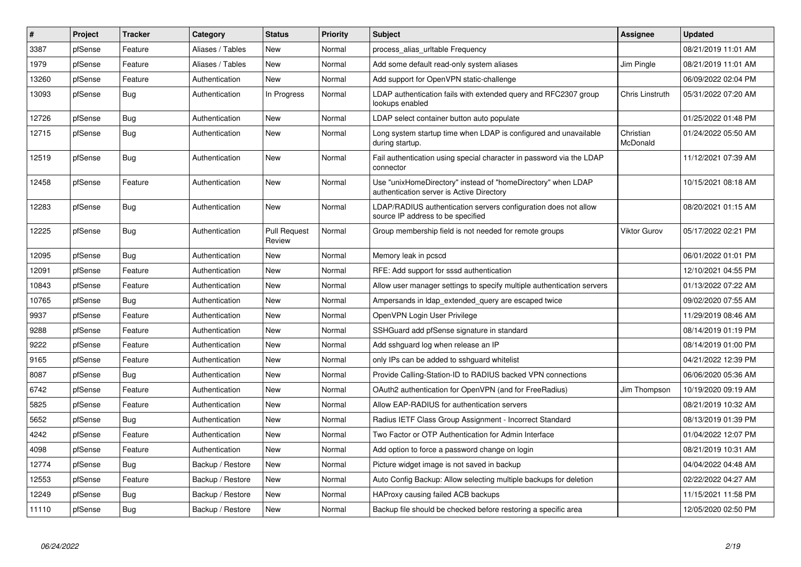| $\vert$ # | Project | <b>Tracker</b> | Category         | <b>Status</b>                 | <b>Priority</b> | <b>Subject</b>                                                                                            | Assignee              | <b>Updated</b>      |
|-----------|---------|----------------|------------------|-------------------------------|-----------------|-----------------------------------------------------------------------------------------------------------|-----------------------|---------------------|
| 3387      | pfSense | Feature        | Aliases / Tables | <b>New</b>                    | Normal          | process alias urltable Frequency                                                                          |                       | 08/21/2019 11:01 AM |
| 1979      | pfSense | Feature        | Aliases / Tables | New                           | Normal          | Add some default read-only system aliases                                                                 | Jim Pingle            | 08/21/2019 11:01 AM |
| 13260     | pfSense | Feature        | Authentication   | <b>New</b>                    | Normal          | Add support for OpenVPN static-challenge                                                                  |                       | 06/09/2022 02:04 PM |
| 13093     | pfSense | <b>Bug</b>     | Authentication   | In Progress                   | Normal          | LDAP authentication fails with extended query and RFC2307 group<br>lookups enabled                        | Chris Linstruth       | 05/31/2022 07:20 AM |
| 12726     | pfSense | <b>Bug</b>     | Authentication   | New                           | Normal          | LDAP select container button auto populate                                                                |                       | 01/25/2022 01:48 PM |
| 12715     | pfSense | <b>Bug</b>     | Authentication   | New                           | Normal          | Long system startup time when LDAP is configured and unavailable<br>during startup.                       | Christian<br>McDonald | 01/24/2022 05:50 AM |
| 12519     | pfSense | Bug            | Authentication   | New                           | Normal          | Fail authentication using special character in password via the LDAP<br>connector                         |                       | 11/12/2021 07:39 AM |
| 12458     | pfSense | Feature        | Authentication   | <b>New</b>                    | Normal          | Use "unixHomeDirectory" instead of "homeDirectory" when LDAP<br>authentication server is Active Directory |                       | 10/15/2021 08:18 AM |
| 12283     | pfSense | <b>Bug</b>     | Authentication   | <b>New</b>                    | Normal          | LDAP/RADIUS authentication servers configuration does not allow<br>source IP address to be specified      |                       | 08/20/2021 01:15 AM |
| 12225     | pfSense | <b>Bug</b>     | Authentication   | <b>Pull Request</b><br>Review | Normal          | Group membership field is not needed for remote groups                                                    | <b>Viktor Gurov</b>   | 05/17/2022 02:21 PM |
| 12095     | pfSense | Bug            | Authentication   | <b>New</b>                    | Normal          | Memory leak in pcscd                                                                                      |                       | 06/01/2022 01:01 PM |
| 12091     | pfSense | Feature        | Authentication   | New                           | Normal          | RFE: Add support for sssd authentication                                                                  |                       | 12/10/2021 04:55 PM |
| 10843     | pfSense | Feature        | Authentication   | New                           | Normal          | Allow user manager settings to specify multiple authentication servers                                    |                       | 01/13/2022 07:22 AM |
| 10765     | pfSense | Bug            | Authentication   | <b>New</b>                    | Normal          | Ampersands in Idap_extended_query are escaped twice                                                       |                       | 09/02/2020 07:55 AM |
| 9937      | pfSense | Feature        | Authentication   | <b>New</b>                    | Normal          | OpenVPN Login User Privilege                                                                              |                       | 11/29/2019 08:46 AM |
| 9288      | pfSense | Feature        | Authentication   | New                           | Normal          | SSHGuard add pfSense signature in standard                                                                |                       | 08/14/2019 01:19 PM |
| 9222      | pfSense | Feature        | Authentication   | <b>New</b>                    | Normal          | Add sshguard log when release an IP                                                                       |                       | 08/14/2019 01:00 PM |
| 9165      | pfSense | Feature        | Authentication   | New                           | Normal          | only IPs can be added to sshguard whitelist                                                               |                       | 04/21/2022 12:39 PM |
| 8087      | pfSense | Bug            | Authentication   | New                           | Normal          | Provide Calling-Station-ID to RADIUS backed VPN connections                                               |                       | 06/06/2020 05:36 AM |
| 6742      | pfSense | Feature        | Authentication   | New                           | Normal          | OAuth2 authentication for OpenVPN (and for FreeRadius)                                                    | Jim Thompson          | 10/19/2020 09:19 AM |
| 5825      | pfSense | Feature        | Authentication   | <b>New</b>                    | Normal          | Allow EAP-RADIUS for authentication servers                                                               |                       | 08/21/2019 10:32 AM |
| 5652      | pfSense | <b>Bug</b>     | Authentication   | New                           | Normal          | Radius IETF Class Group Assignment - Incorrect Standard                                                   |                       | 08/13/2019 01:39 PM |
| 4242      | pfSense | Feature        | Authentication   | New                           | Normal          | Two Factor or OTP Authentication for Admin Interface                                                      |                       | 01/04/2022 12:07 PM |
| 4098      | pfSense | Feature        | Authentication   | <b>New</b>                    | Normal          | Add option to force a password change on login                                                            |                       | 08/21/2019 10:31 AM |
| 12774     | pfSense | <b>Bug</b>     | Backup / Restore | New                           | Normal          | Picture widget image is not saved in backup                                                               |                       | 04/04/2022 04:48 AM |
| 12553     | pfSense | Feature        | Backup / Restore | New                           | Normal          | Auto Config Backup: Allow selecting multiple backups for deletion                                         |                       | 02/22/2022 04:27 AM |
| 12249     | pfSense | <b>Bug</b>     | Backup / Restore | New                           | Normal          | HAProxy causing failed ACB backups                                                                        |                       | 11/15/2021 11:58 PM |
| 11110     | pfSense | Bug            | Backup / Restore | New                           | Normal          | Backup file should be checked before restoring a specific area                                            |                       | 12/05/2020 02:50 PM |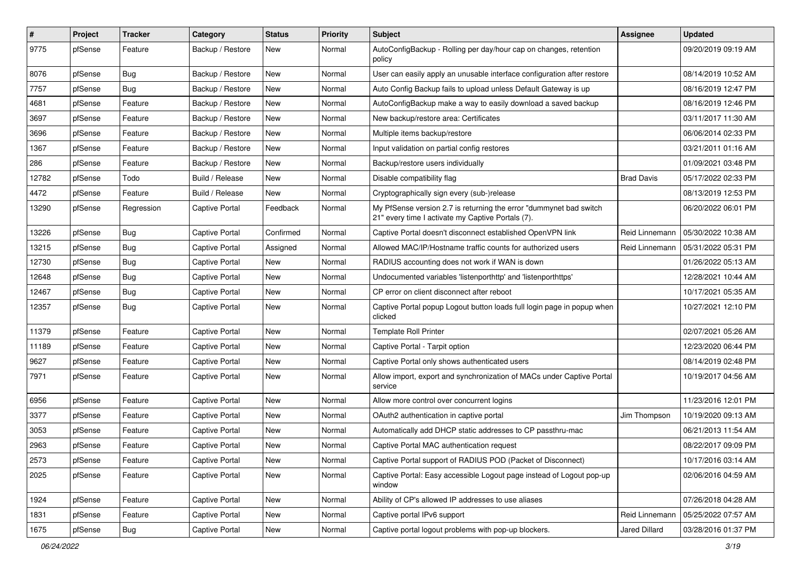| ∦     | Project | <b>Tracker</b> | Category              | <b>Status</b> | <b>Priority</b> | Subject                                                                                                                 | <b>Assignee</b>   | <b>Updated</b>      |
|-------|---------|----------------|-----------------------|---------------|-----------------|-------------------------------------------------------------------------------------------------------------------------|-------------------|---------------------|
| 9775  | pfSense | Feature        | Backup / Restore      | New           | Normal          | AutoConfigBackup - Rolling per day/hour cap on changes, retention<br>policy                                             |                   | 09/20/2019 09:19 AM |
| 8076  | pfSense | Bug            | Backup / Restore      | New           | Normal          | User can easily apply an unusable interface configuration after restore                                                 |                   | 08/14/2019 10:52 AM |
| 7757  | pfSense | Bug            | Backup / Restore      | New           | Normal          | Auto Config Backup fails to upload unless Default Gateway is up                                                         |                   | 08/16/2019 12:47 PM |
| 4681  | pfSense | Feature        | Backup / Restore      | New           | Normal          | AutoConfigBackup make a way to easily download a saved backup                                                           |                   | 08/16/2019 12:46 PM |
| 3697  | pfSense | Feature        | Backup / Restore      | New           | Normal          | New backup/restore area: Certificates                                                                                   |                   | 03/11/2017 11:30 AM |
| 3696  | pfSense | Feature        | Backup / Restore      | New           | Normal          | Multiple items backup/restore                                                                                           |                   | 06/06/2014 02:33 PM |
| 1367  | pfSense | Feature        | Backup / Restore      | New           | Normal          | Input validation on partial config restores                                                                             |                   | 03/21/2011 01:16 AM |
| 286   | pfSense | Feature        | Backup / Restore      | New           | Normal          | Backup/restore users individually                                                                                       |                   | 01/09/2021 03:48 PM |
| 12782 | pfSense | Todo           | Build / Release       | New           | Normal          | Disable compatibility flag                                                                                              | <b>Brad Davis</b> | 05/17/2022 02:33 PM |
| 4472  | pfSense | Feature        | Build / Release       | New           | Normal          | Cryptographically sign every (sub-)release                                                                              |                   | 08/13/2019 12:53 PM |
| 13290 | pfSense | Regression     | <b>Captive Portal</b> | Feedback      | Normal          | My PfSense version 2.7 is returning the error "dummynet bad switch<br>21" every time I activate my Captive Portals (7). |                   | 06/20/2022 06:01 PM |
| 13226 | pfSense | Bug            | Captive Portal        | Confirmed     | Normal          | Captive Portal doesn't disconnect established OpenVPN link                                                              | Reid Linnemann    | 05/30/2022 10:38 AM |
| 13215 | pfSense | Bug            | <b>Captive Portal</b> | Assigned      | Normal          | Allowed MAC/IP/Hostname traffic counts for authorized users                                                             | Reid Linnemann    | 05/31/2022 05:31 PM |
| 12730 | pfSense | Bug            | <b>Captive Portal</b> | New           | Normal          | RADIUS accounting does not work if WAN is down                                                                          |                   | 01/26/2022 05:13 AM |
| 12648 | pfSense | <b>Bug</b>     | <b>Captive Portal</b> | New           | Normal          | Undocumented variables 'listenporthttp' and 'listenporthttps'                                                           |                   | 12/28/2021 10:44 AM |
| 12467 | pfSense | Bug            | <b>Captive Portal</b> | <b>New</b>    | Normal          | CP error on client disconnect after reboot                                                                              |                   | 10/17/2021 05:35 AM |
| 12357 | pfSense | Bug            | <b>Captive Portal</b> | New           | Normal          | Captive Portal popup Logout button loads full login page in popup when<br>clicked                                       |                   | 10/27/2021 12:10 PM |
| 11379 | pfSense | Feature        | <b>Captive Portal</b> | <b>New</b>    | Normal          | <b>Template Roll Printer</b>                                                                                            |                   | 02/07/2021 05:26 AM |
| 11189 | pfSense | Feature        | <b>Captive Portal</b> | New           | Normal          | Captive Portal - Tarpit option                                                                                          |                   | 12/23/2020 06:44 PM |
| 9627  | pfSense | Feature        | <b>Captive Portal</b> | New           | Normal          | Captive Portal only shows authenticated users                                                                           |                   | 08/14/2019 02:48 PM |
| 7971  | pfSense | Feature        | <b>Captive Portal</b> | New           | Normal          | Allow import, export and synchronization of MACs under Captive Portal<br>service                                        |                   | 10/19/2017 04:56 AM |
| 6956  | pfSense | Feature        | <b>Captive Portal</b> | New           | Normal          | Allow more control over concurrent logins                                                                               |                   | 11/23/2016 12:01 PM |
| 3377  | pfSense | Feature        | Captive Portal        | New           | Normal          | OAuth2 authentication in captive portal                                                                                 | Jim Thompson      | 10/19/2020 09:13 AM |
| 3053  | pfSense | Feature        | <b>Captive Portal</b> | New           | Normal          | Automatically add DHCP static addresses to CP passthru-mac                                                              |                   | 06/21/2013 11:54 AM |
| 2963  | pfSense | Feature        | <b>Captive Portal</b> | New           | Normal          | Captive Portal MAC authentication request                                                                               |                   | 08/22/2017 09:09 PM |
| 2573  | pfSense | Feature        | <b>Captive Portal</b> | <b>New</b>    | Normal          | Captive Portal support of RADIUS POD (Packet of Disconnect)                                                             |                   | 10/17/2016 03:14 AM |
| 2025  | pfSense | Feature        | <b>Captive Portal</b> | New           | Normal          | Captive Portal: Easy accessible Logout page instead of Logout pop-up<br>window                                          |                   | 02/06/2016 04:59 AM |
| 1924  | pfSense | Feature        | Captive Portal        | <b>New</b>    | Normal          | Ability of CP's allowed IP addresses to use aliases                                                                     |                   | 07/26/2018 04:28 AM |
| 1831  | pfSense | Feature        | Captive Portal        | New           | Normal          | Captive portal IPv6 support                                                                                             | Reid Linnemann    | 05/25/2022 07:57 AM |
| 1675  | pfSense | Bug            | Captive Portal        | New           | Normal          | Captive portal logout problems with pop-up blockers.                                                                    | Jared Dillard     | 03/28/2016 01:37 PM |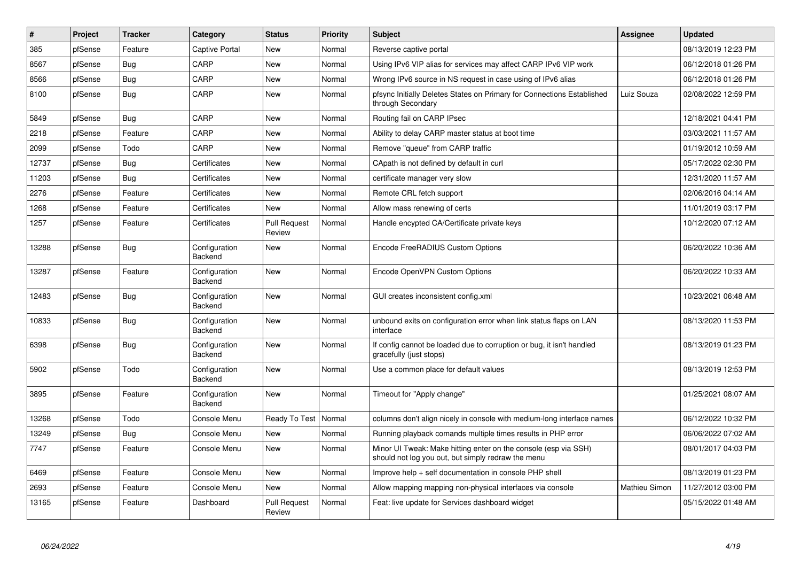| #     | <b>Project</b> | <b>Tracker</b> | Category                 | <b>Status</b>                 | <b>Priority</b> | <b>Subject</b>                                                                                                        | <b>Assignee</b> | <b>Updated</b>      |
|-------|----------------|----------------|--------------------------|-------------------------------|-----------------|-----------------------------------------------------------------------------------------------------------------------|-----------------|---------------------|
| 385   | pfSense        | Feature        | <b>Captive Portal</b>    | <b>New</b>                    | Normal          | Reverse captive portal                                                                                                |                 | 08/13/2019 12:23 PM |
| 8567  | pfSense        | <b>Bug</b>     | CARP                     | <b>New</b>                    | Normal          | Using IPv6 VIP alias for services may affect CARP IPv6 VIP work                                                       |                 | 06/12/2018 01:26 PM |
| 8566  | pfSense        | Bug            | CARP                     | <b>New</b>                    | Normal          | Wrong IPv6 source in NS request in case using of IPv6 alias                                                           |                 | 06/12/2018 01:26 PM |
| 8100  | pfSense        | <b>Bug</b>     | CARP                     | <b>New</b>                    | Normal          | pfsync Initially Deletes States on Primary for Connections Established<br>through Secondary                           | Luiz Souza      | 02/08/2022 12:59 PM |
| 5849  | pfSense        | <b>Bug</b>     | CARP                     | <b>New</b>                    | Normal          | Routing fail on CARP IPsec                                                                                            |                 | 12/18/2021 04:41 PM |
| 2218  | pfSense        | Feature        | CARP                     | <b>New</b>                    | Normal          | Ability to delay CARP master status at boot time                                                                      |                 | 03/03/2021 11:57 AM |
| 2099  | pfSense        | Todo           | CARP                     | New                           | Normal          | Remove "queue" from CARP traffic                                                                                      |                 | 01/19/2012 10:59 AM |
| 12737 | pfSense        | <b>Bug</b>     | Certificates             | <b>New</b>                    | Normal          | CApath is not defined by default in curl                                                                              |                 | 05/17/2022 02:30 PM |
| 11203 | pfSense        | Bug            | Certificates             | <b>New</b>                    | Normal          | certificate manager very slow                                                                                         |                 | 12/31/2020 11:57 AM |
| 2276  | pfSense        | Feature        | Certificates             | <b>New</b>                    | Normal          | Remote CRL fetch support                                                                                              |                 | 02/06/2016 04:14 AM |
| 1268  | pfSense        | Feature        | Certificates             | <b>New</b>                    | Normal          | Allow mass renewing of certs                                                                                          |                 | 11/01/2019 03:17 PM |
| 1257  | pfSense        | Feature        | Certificates             | <b>Pull Request</b><br>Review | Normal          | Handle encypted CA/Certificate private keys                                                                           |                 | 10/12/2020 07:12 AM |
| 13288 | pfSense        | Bug            | Configuration<br>Backend | <b>New</b>                    | Normal          | Encode FreeRADIUS Custom Options                                                                                      |                 | 06/20/2022 10:36 AM |
| 13287 | pfSense        | Feature        | Configuration<br>Backend | <b>New</b>                    | Normal          | Encode OpenVPN Custom Options                                                                                         |                 | 06/20/2022 10:33 AM |
| 12483 | pfSense        | Bug            | Configuration<br>Backend | <b>New</b>                    | Normal          | GUI creates inconsistent config.xml                                                                                   |                 | 10/23/2021 06:48 AM |
| 10833 | pfSense        | <b>Bug</b>     | Configuration<br>Backend | <b>New</b>                    | Normal          | unbound exits on configuration error when link status flaps on LAN<br>interface                                       |                 | 08/13/2020 11:53 PM |
| 6398  | pfSense        | Bug            | Configuration<br>Backend | New                           | Normal          | If config cannot be loaded due to corruption or bug, it isn't handled<br>gracefully (just stops)                      |                 | 08/13/2019 01:23 PM |
| 5902  | pfSense        | Todo           | Configuration<br>Backend | New                           | Normal          | Use a common place for default values                                                                                 |                 | 08/13/2019 12:53 PM |
| 3895  | pfSense        | Feature        | Configuration<br>Backend | <b>New</b>                    | Normal          | Timeout for "Apply change"                                                                                            |                 | 01/25/2021 08:07 AM |
| 13268 | pfSense        | Todo           | Console Menu             | Ready To Test                 | Normal          | columns don't align nicely in console with medium-long interface names                                                |                 | 06/12/2022 10:32 PM |
| 13249 | pfSense        | <b>Bug</b>     | Console Menu             | <b>New</b>                    | Normal          | Running playback comands multiple times results in PHP error                                                          |                 | 06/06/2022 07:02 AM |
| 7747  | pfSense        | Feature        | Console Menu             | <b>New</b>                    | Normal          | Minor UI Tweak: Make hitting enter on the console (esp via SSH)<br>should not log you out, but simply redraw the menu |                 | 08/01/2017 04:03 PM |
| 6469  | pfSense        | Feature        | Console Menu             | <b>New</b>                    | Normal          | Improve help + self documentation in console PHP shell                                                                |                 | 08/13/2019 01:23 PM |
| 2693  | pfSense        | Feature        | Console Menu             | New                           | Normal          | Allow mapping mapping non-physical interfaces via console                                                             | Mathieu Simon   | 11/27/2012 03:00 PM |
| 13165 | pfSense        | Feature        | Dashboard                | <b>Pull Request</b><br>Review | Normal          | Feat: live update for Services dashboard widget                                                                       |                 | 05/15/2022 01:48 AM |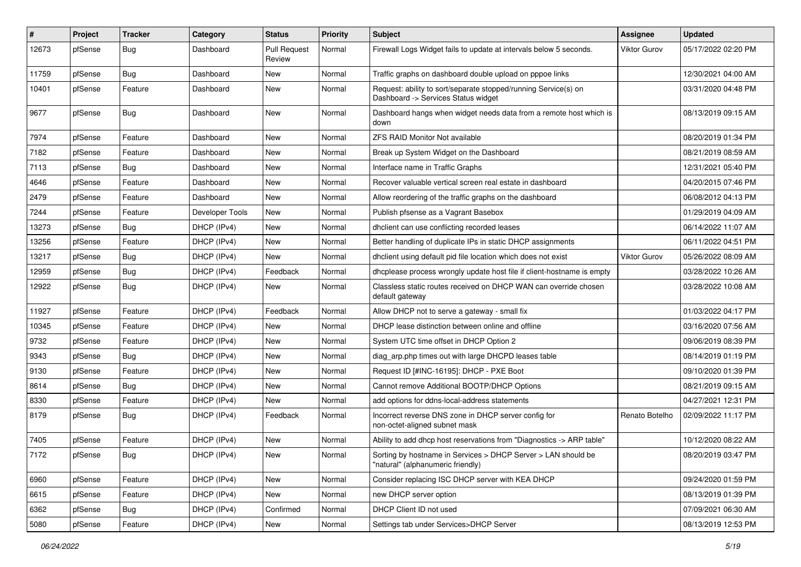| $\vert$ # | Project | <b>Tracker</b> | Category        | <b>Status</b>                 | <b>Priority</b> | <b>Subject</b>                                                                                         | <b>Assignee</b>     | <b>Updated</b>      |
|-----------|---------|----------------|-----------------|-------------------------------|-----------------|--------------------------------------------------------------------------------------------------------|---------------------|---------------------|
| 12673     | pfSense | Bug            | Dashboard       | <b>Pull Request</b><br>Review | Normal          | Firewall Logs Widget fails to update at intervals below 5 seconds.                                     | <b>Viktor Gurov</b> | 05/17/2022 02:20 PM |
| 11759     | pfSense | <b>Bug</b>     | Dashboard       | New                           | Normal          | Traffic graphs on dashboard double upload on pppoe links                                               |                     | 12/30/2021 04:00 AM |
| 10401     | pfSense | Feature        | Dashboard       | New                           | Normal          | Request: ability to sort/separate stopped/running Service(s) on<br>Dashboard -> Services Status widget |                     | 03/31/2020 04:48 PM |
| 9677      | pfSense | Bug            | Dashboard       | New                           | Normal          | Dashboard hangs when widget needs data from a remote host which is<br>down                             |                     | 08/13/2019 09:15 AM |
| 7974      | pfSense | Feature        | Dashboard       | <b>New</b>                    | Normal          | <b>ZFS RAID Monitor Not available</b>                                                                  |                     | 08/20/2019 01:34 PM |
| 7182      | pfSense | Feature        | Dashboard       | New                           | Normal          | Break up System Widget on the Dashboard                                                                |                     | 08/21/2019 08:59 AM |
| 7113      | pfSense | Bug            | Dashboard       | New                           | Normal          | Interface name in Traffic Graphs                                                                       |                     | 12/31/2021 05:40 PM |
| 4646      | pfSense | Feature        | Dashboard       | New                           | Normal          | Recover valuable vertical screen real estate in dashboard                                              |                     | 04/20/2015 07:46 PM |
| 2479      | pfSense | Feature        | Dashboard       | <b>New</b>                    | Normal          | Allow reordering of the traffic graphs on the dashboard                                                |                     | 06/08/2012 04:13 PM |
| 7244      | pfSense | Feature        | Developer Tools | New                           | Normal          | Publish pfsense as a Vagrant Basebox                                                                   |                     | 01/29/2019 04:09 AM |
| 13273     | pfSense | <b>Bug</b>     | DHCP (IPv4)     | New                           | Normal          | dholient can use conflicting recorded leases                                                           |                     | 06/14/2022 11:07 AM |
| 13256     | pfSense | Feature        | DHCP (IPv4)     | New                           | Normal          | Better handling of duplicate IPs in static DHCP assignments                                            |                     | 06/11/2022 04:51 PM |
| 13217     | pfSense | <b>Bug</b>     | DHCP (IPv4)     | New                           | Normal          | dhclient using default pid file location which does not exist                                          | Viktor Gurov        | 05/26/2022 08:09 AM |
| 12959     | pfSense | Bug            | DHCP (IPv4)     | Feedback                      | Normal          | dhcplease process wrongly update host file if client-hostname is empty                                 |                     | 03/28/2022 10:26 AM |
| 12922     | pfSense | <b>Bug</b>     | DHCP (IPv4)     | New                           | Normal          | Classless static routes received on DHCP WAN can override chosen<br>default gateway                    |                     | 03/28/2022 10:08 AM |
| 11927     | pfSense | Feature        | DHCP (IPv4)     | Feedback                      | Normal          | Allow DHCP not to serve a gateway - small fix                                                          |                     | 01/03/2022 04:17 PM |
| 10345     | pfSense | Feature        | DHCP (IPv4)     | <b>New</b>                    | Normal          | DHCP lease distinction between online and offline                                                      |                     | 03/16/2020 07:56 AM |
| 9732      | pfSense | Feature        | DHCP (IPv4)     | New                           | Normal          | System UTC time offset in DHCP Option 2                                                                |                     | 09/06/2019 08:39 PM |
| 9343      | pfSense | Bug            | DHCP (IPv4)     | New                           | Normal          | diag arp.php times out with large DHCPD leases table                                                   |                     | 08/14/2019 01:19 PM |
| 9130      | pfSense | Feature        | DHCP (IPv4)     | New                           | Normal          | Request ID [#INC-16195]: DHCP - PXE Boot                                                               |                     | 09/10/2020 01:39 PM |
| 8614      | pfSense | Bug            | DHCP (IPv4)     | New                           | Normal          | Cannot remove Additional BOOTP/DHCP Options                                                            |                     | 08/21/2019 09:15 AM |
| 8330      | pfSense | Feature        | DHCP (IPv4)     | New                           | Normal          | add options for ddns-local-address statements                                                          |                     | 04/27/2021 12:31 PM |
| 8179      | pfSense | Bug            | DHCP (IPv4)     | Feedback                      | Normal          | Incorrect reverse DNS zone in DHCP server config for<br>non-octet-aligned subnet mask                  | Renato Botelho      | 02/09/2022 11:17 PM |
| 7405      | pfSense | Feature        | DHCP (IPv4)     | <b>New</b>                    | Normal          | Ability to add dhcp host reservations from "Diagnostics -> ARP table"                                  |                     | 10/12/2020 08:22 AM |
| 7172      | pfSense | Bug            | DHCP (IPv4)     | <b>New</b>                    | Normal          | Sorting by hostname in Services > DHCP Server > LAN should be<br>"natural" (alphanumeric friendly)     |                     | 08/20/2019 03:47 PM |
| 6960      | pfSense | Feature        | DHCP (IPv4)     | New                           | Normal          | Consider replacing ISC DHCP server with KEA DHCP                                                       |                     | 09/24/2020 01:59 PM |
| 6615      | pfSense | Feature        | DHCP (IPv4)     | New                           | Normal          | new DHCP server option                                                                                 |                     | 08/13/2019 01:39 PM |
| 6362      | pfSense | <b>Bug</b>     | DHCP (IPv4)     | Confirmed                     | Normal          | DHCP Client ID not used                                                                                |                     | 07/09/2021 06:30 AM |
| 5080      | pfSense | Feature        | DHCP (IPv4)     | New                           | Normal          | Settings tab under Services>DHCP Server                                                                |                     | 08/13/2019 12:53 PM |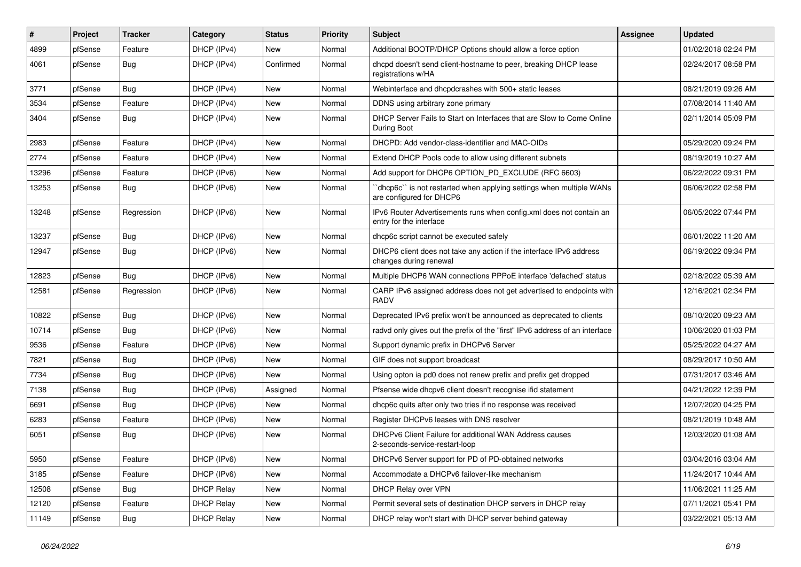| #     | Project | <b>Tracker</b> | Category          | <b>Status</b> | <b>Priority</b> | <b>Subject</b>                                                                                 | Assignee | <b>Updated</b>      |
|-------|---------|----------------|-------------------|---------------|-----------------|------------------------------------------------------------------------------------------------|----------|---------------------|
| 4899  | pfSense | Feature        | DHCP (IPv4)       | New           | Normal          | Additional BOOTP/DHCP Options should allow a force option                                      |          | 01/02/2018 02:24 PM |
| 4061  | pfSense | Bug            | DHCP (IPv4)       | Confirmed     | Normal          | dhcpd doesn't send client-hostname to peer, breaking DHCP lease<br>registrations w/HA          |          | 02/24/2017 08:58 PM |
| 3771  | pfSense | Bug            | DHCP (IPv4)       | <b>New</b>    | Normal          | Webinterface and dhcpdcrashes with 500+ static leases                                          |          | 08/21/2019 09:26 AM |
| 3534  | pfSense | Feature        | DHCP (IPv4)       | <b>New</b>    | Normal          | DDNS using arbitrary zone primary                                                              |          | 07/08/2014 11:40 AM |
| 3404  | pfSense | Bug            | DHCP (IPv4)       | New           | Normal          | DHCP Server Fails to Start on Interfaces that are Slow to Come Online<br>During Boot           |          | 02/11/2014 05:09 PM |
| 2983  | pfSense | Feature        | DHCP (IPv4)       | <b>New</b>    | Normal          | DHCPD: Add vendor-class-identifier and MAC-OIDs                                                |          | 05/29/2020 09:24 PM |
| 2774  | pfSense | Feature        | DHCP (IPv4)       | New           | Normal          | Extend DHCP Pools code to allow using different subnets                                        |          | 08/19/2019 10:27 AM |
| 13296 | pfSense | Feature        | DHCP (IPv6)       | <b>New</b>    | Normal          | Add support for DHCP6 OPTION_PD_EXCLUDE (RFC 6603)                                             |          | 06/22/2022 09:31 PM |
| 13253 | pfSense | Bug            | DHCP (IPv6)       | New           | Normal          | dhcp6c" is not restarted when applying settings when multiple WANs<br>are configured for DHCP6 |          | 06/06/2022 02:58 PM |
| 13248 | pfSense | Regression     | DHCP (IPv6)       | <b>New</b>    | Normal          | IPv6 Router Advertisements runs when config.xml does not contain an<br>entry for the interface |          | 06/05/2022 07:44 PM |
| 13237 | pfSense | Bug            | DHCP (IPv6)       | <b>New</b>    | Normal          | dhcp6c script cannot be executed safely                                                        |          | 06/01/2022 11:20 AM |
| 12947 | pfSense | Bug            | DHCP (IPv6)       | <b>New</b>    | Normal          | DHCP6 client does not take any action if the interface IPv6 address<br>changes during renewal  |          | 06/19/2022 09:34 PM |
| 12823 | pfSense | Bug            | DHCP (IPv6)       | <b>New</b>    | Normal          | Multiple DHCP6 WAN connections PPPoE interface 'defached' status                               |          | 02/18/2022 05:39 AM |
| 12581 | pfSense | Regression     | DHCP (IPv6)       | New           | Normal          | CARP IPv6 assigned address does not get advertised to endpoints with<br><b>RADV</b>            |          | 12/16/2021 02:34 PM |
| 10822 | pfSense | Bug            | DHCP (IPv6)       | <b>New</b>    | Normal          | Deprecated IPv6 prefix won't be announced as deprecated to clients                             |          | 08/10/2020 09:23 AM |
| 10714 | pfSense | Bug            | DHCP (IPv6)       | New           | Normal          | radvd only gives out the prefix of the "first" IPv6 address of an interface                    |          | 10/06/2020 01:03 PM |
| 9536  | pfSense | Feature        | DHCP (IPv6)       | New           | Normal          | Support dynamic prefix in DHCPv6 Server                                                        |          | 05/25/2022 04:27 AM |
| 7821  | pfSense | Bug            | DHCP (IPv6)       | New           | Normal          | GIF does not support broadcast                                                                 |          | 08/29/2017 10:50 AM |
| 7734  | pfSense | Bug            | DHCP (IPv6)       | New           | Normal          | Using opton ia pd0 does not renew prefix and prefix get dropped                                |          | 07/31/2017 03:46 AM |
| 7138  | pfSense | Bug            | DHCP (IPv6)       | Assigned      | Normal          | Pfsense wide dhcpv6 client doesn't recognise ifid statement                                    |          | 04/21/2022 12:39 PM |
| 6691  | pfSense | Bug            | DHCP (IPv6)       | New           | Normal          | dhcp6c quits after only two tries if no response was received                                  |          | 12/07/2020 04:25 PM |
| 6283  | pfSense | Feature        | DHCP (IPv6)       | New           | Normal          | Register DHCPv6 leases with DNS resolver                                                       |          | 08/21/2019 10:48 AM |
| 6051  | pfSense | <b>Bug</b>     | DHCP (IPv6)       | <b>New</b>    | Normal          | DHCPv6 Client Failure for additional WAN Address causes<br>2-seconds-service-restart-loop      |          | 12/03/2020 01:08 AM |
| 5950  | pfSense | Feature        | DHCP (IPv6)       | New           | Normal          | DHCPv6 Server support for PD of PD-obtained networks                                           |          | 03/04/2016 03:04 AM |
| 3185  | pfSense | Feature        | DHCP (IPv6)       | New           | Normal          | Accommodate a DHCPv6 failover-like mechanism                                                   |          | 11/24/2017 10:44 AM |
| 12508 | pfSense | Bug            | <b>DHCP Relay</b> | New           | Normal          | DHCP Relay over VPN                                                                            |          | 11/06/2021 11:25 AM |
| 12120 | pfSense | Feature        | <b>DHCP Relay</b> | New           | Normal          | Permit several sets of destination DHCP servers in DHCP relay                                  |          | 07/11/2021 05:41 PM |
| 11149 | pfSense | <b>Bug</b>     | <b>DHCP Relay</b> | New           | Normal          | DHCP relay won't start with DHCP server behind gateway                                         |          | 03/22/2021 05:13 AM |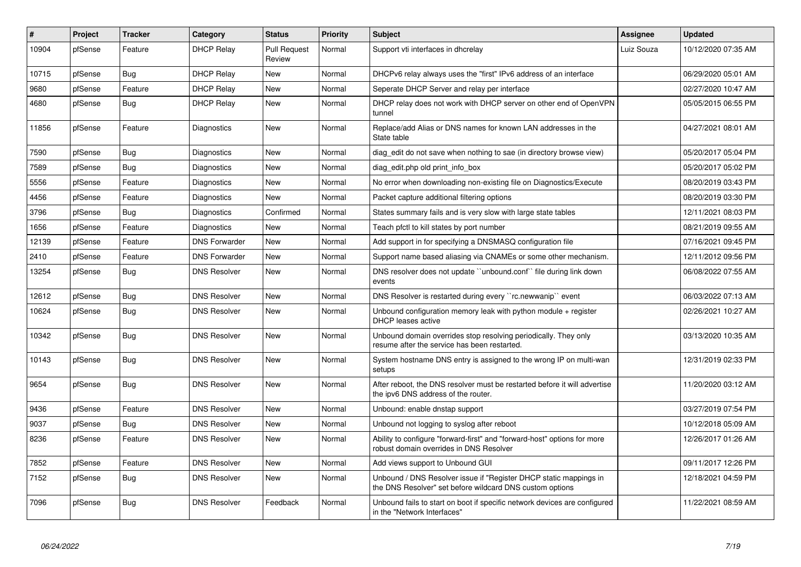| $\#$  | Project | <b>Tracker</b> | Category             | <b>Status</b>                 | Priority | <b>Subject</b>                                                                                                                | Assignee   | <b>Updated</b>      |
|-------|---------|----------------|----------------------|-------------------------------|----------|-------------------------------------------------------------------------------------------------------------------------------|------------|---------------------|
| 10904 | pfSense | Feature        | <b>DHCP Relay</b>    | <b>Pull Request</b><br>Review | Normal   | Support vti interfaces in dhcrelay                                                                                            | Luiz Souza | 10/12/2020 07:35 AM |
| 10715 | pfSense | Bug            | <b>DHCP Relay</b>    | New                           | Normal   | DHCPv6 relay always uses the "first" IPv6 address of an interface                                                             |            | 06/29/2020 05:01 AM |
| 9680  | pfSense | Feature        | <b>DHCP Relay</b>    | <b>New</b>                    | Normal   | Seperate DHCP Server and relay per interface                                                                                  |            | 02/27/2020 10:47 AM |
| 4680  | pfSense | Bug            | <b>DHCP Relay</b>    | <b>New</b>                    | Normal   | DHCP relay does not work with DHCP server on other end of OpenVPN<br>tunnel                                                   |            | 05/05/2015 06:55 PM |
| 11856 | pfSense | Feature        | Diagnostics          | New                           | Normal   | Replace/add Alias or DNS names for known LAN addresses in the<br>State table                                                  |            | 04/27/2021 08:01 AM |
| 7590  | pfSense | Bug            | Diagnostics          | <b>New</b>                    | Normal   | diag edit do not save when nothing to sae (in directory browse view)                                                          |            | 05/20/2017 05:04 PM |
| 7589  | pfSense | <b>Bug</b>     | Diagnostics          | <b>New</b>                    | Normal   | diag edit.php old print info box                                                                                              |            | 05/20/2017 05:02 PM |
| 5556  | pfSense | Feature        | Diagnostics          | <b>New</b>                    | Normal   | No error when downloading non-existing file on Diagnostics/Execute                                                            |            | 08/20/2019 03:43 PM |
| 4456  | pfSense | Feature        | Diagnostics          | New                           | Normal   | Packet capture additional filtering options                                                                                   |            | 08/20/2019 03:30 PM |
| 3796  | pfSense | <b>Bug</b>     | Diagnostics          | Confirmed                     | Normal   | States summary fails and is very slow with large state tables                                                                 |            | 12/11/2021 08:03 PM |
| 1656  | pfSense | Feature        | Diagnostics          | <b>New</b>                    | Normal   | Teach pfctl to kill states by port number                                                                                     |            | 08/21/2019 09:55 AM |
| 12139 | pfSense | Feature        | <b>DNS Forwarder</b> | <b>New</b>                    | Normal   | Add support in for specifying a DNSMASQ configuration file                                                                    |            | 07/16/2021 09:45 PM |
| 2410  | pfSense | Feature        | <b>DNS Forwarder</b> | <b>New</b>                    | Normal   | Support name based aliasing via CNAMEs or some other mechanism.                                                               |            | 12/11/2012 09:56 PM |
| 13254 | pfSense | <b>Bug</b>     | <b>DNS Resolver</b>  | <b>New</b>                    | Normal   | DNS resolver does not update "unbound.conf" file during link down<br>events                                                   |            | 06/08/2022 07:55 AM |
| 12612 | pfSense | Bug            | <b>DNS Resolver</b>  | <b>New</b>                    | Normal   | DNS Resolver is restarted during every "rc.newwanip" event                                                                    |            | 06/03/2022 07:13 AM |
| 10624 | pfSense | <b>Bug</b>     | <b>DNS Resolver</b>  | New                           | Normal   | Unbound configuration memory leak with python module $+$ register<br>DHCP leases active                                       |            | 02/26/2021 10:27 AM |
| 10342 | pfSense | <b>Bug</b>     | <b>DNS Resolver</b>  | <b>New</b>                    | Normal   | Unbound domain overrides stop resolving periodically. They only<br>resume after the service has been restarted.               |            | 03/13/2020 10:35 AM |
| 10143 | pfSense | <b>Bug</b>     | <b>DNS Resolver</b>  | New                           | Normal   | System hostname DNS entry is assigned to the wrong IP on multi-wan<br>setups                                                  |            | 12/31/2019 02:33 PM |
| 9654  | pfSense | <b>Bug</b>     | <b>DNS Resolver</b>  | <b>New</b>                    | Normal   | After reboot, the DNS resolver must be restarted before it will advertise<br>the ipv6 DNS address of the router.              |            | 11/20/2020 03:12 AM |
| 9436  | pfSense | Feature        | <b>DNS Resolver</b>  | <b>New</b>                    | Normal   | Unbound: enable dnstap support                                                                                                |            | 03/27/2019 07:54 PM |
| 9037  | pfSense | Bug            | <b>DNS Resolver</b>  | <b>New</b>                    | Normal   | Unbound not logging to syslog after reboot                                                                                    |            | 10/12/2018 05:09 AM |
| 8236  | pfSense | Feature        | <b>DNS Resolver</b>  | <b>New</b>                    | Normal   | Ability to configure "forward-first" and "forward-host" options for more<br>robust domain overrides in DNS Resolver           |            | 12/26/2017 01:26 AM |
| 7852  | pfSense | Feature        | <b>DNS Resolver</b>  | New                           | Normal   | Add views support to Unbound GUI                                                                                              |            | 09/11/2017 12:26 PM |
| 7152  | pfSense | Bug            | <b>DNS Resolver</b>  | <b>New</b>                    | Normal   | Unbound / DNS Resolver issue if "Register DHCP static mappings in<br>the DNS Resolver" set before wildcard DNS custom options |            | 12/18/2021 04:59 PM |
| 7096  | pfSense | <b>Bug</b>     | <b>DNS Resolver</b>  | Feedback                      | Normal   | Unbound fails to start on boot if specific network devices are configured<br>in the "Network Interfaces"                      |            | 11/22/2021 08:59 AM |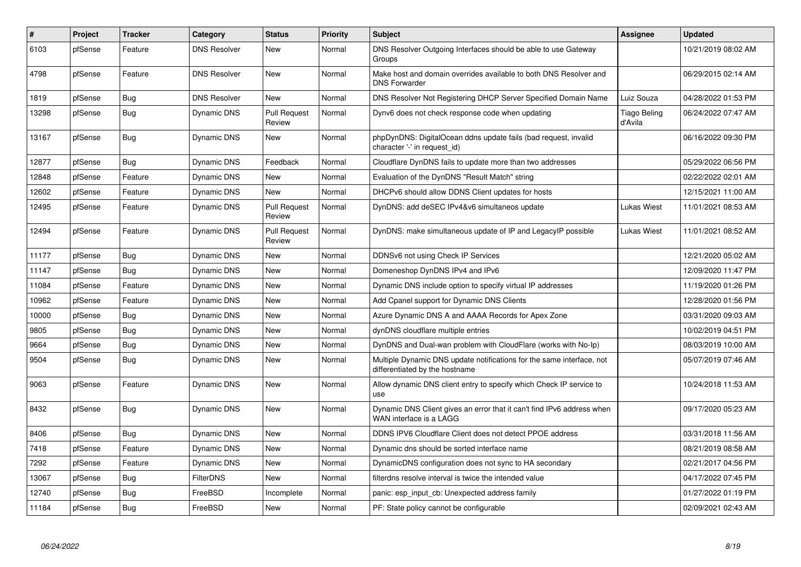| $\#$  | Project | <b>Tracker</b> | Category            | <b>Status</b>                 | Priority | <b>Subject</b>                                                                                          | Assignee                       | <b>Updated</b>      |
|-------|---------|----------------|---------------------|-------------------------------|----------|---------------------------------------------------------------------------------------------------------|--------------------------------|---------------------|
| 6103  | pfSense | Feature        | <b>DNS Resolver</b> | <b>New</b>                    | Normal   | DNS Resolver Outgoing Interfaces should be able to use Gateway<br>Groups                                |                                | 10/21/2019 08:02 AM |
| 4798  | pfSense | Feature        | <b>DNS Resolver</b> | <b>New</b>                    | Normal   | Make host and domain overrides available to both DNS Resolver and<br><b>DNS Forwarder</b>               |                                | 06/29/2015 02:14 AM |
| 1819  | pfSense | Bug            | <b>DNS Resolver</b> | New                           | Normal   | DNS Resolver Not Registering DHCP Server Specified Domain Name                                          | Luiz Souza                     | 04/28/2022 01:53 PM |
| 13298 | pfSense | <b>Bug</b>     | <b>Dynamic DNS</b>  | <b>Pull Request</b><br>Review | Normal   | Dynv6 does not check response code when updating                                                        | <b>Tiago Beling</b><br>d'Avila | 06/24/2022 07:47 AM |
| 13167 | pfSense | Bug            | Dynamic DNS         | <b>New</b>                    | Normal   | phpDynDNS: DigitalOcean ddns update fails (bad request, invalid<br>character '-' in request id)         |                                | 06/16/2022 09:30 PM |
| 12877 | pfSense | <b>Bug</b>     | <b>Dynamic DNS</b>  | Feedback                      | Normal   | Cloudflare DynDNS fails to update more than two addresses                                               |                                | 05/29/2022 06:56 PM |
| 12848 | pfSense | Feature        | Dynamic DNS         | <b>New</b>                    | Normal   | Evaluation of the DynDNS "Result Match" string                                                          |                                | 02/22/2022 02:01 AM |
| 12602 | pfSense | Feature        | Dynamic DNS         | <b>New</b>                    | Normal   | DHCPv6 should allow DDNS Client updates for hosts                                                       |                                | 12/15/2021 11:00 AM |
| 12495 | pfSense | Feature        | <b>Dynamic DNS</b>  | <b>Pull Request</b><br>Review | Normal   | DynDNS: add deSEC IPv4&v6 simultaneos update                                                            | Lukas Wiest                    | 11/01/2021 08:53 AM |
| 12494 | pfSense | Feature        | Dynamic DNS         | <b>Pull Request</b><br>Review | Normal   | DynDNS: make simultaneous update of IP and LegacyIP possible                                            | Lukas Wiest                    | 11/01/2021 08:52 AM |
| 11177 | pfSense | Bug            | Dynamic DNS         | <b>New</b>                    | Normal   | DDNSv6 not using Check IP Services                                                                      |                                | 12/21/2020 05:02 AM |
| 11147 | pfSense | Bug            | <b>Dynamic DNS</b>  | New                           | Normal   | Domeneshop DynDNS IPv4 and IPv6                                                                         |                                | 12/09/2020 11:47 PM |
| 11084 | pfSense | Feature        | <b>Dynamic DNS</b>  | <b>New</b>                    | Normal   | Dynamic DNS include option to specify virtual IP addresses                                              |                                | 11/19/2020 01:26 PM |
| 10962 | pfSense | Feature        | Dynamic DNS         | <b>New</b>                    | Normal   | Add Cpanel support for Dynamic DNS Clients                                                              |                                | 12/28/2020 01:56 PM |
| 10000 | pfSense | Bug            | Dynamic DNS         | <b>New</b>                    | Normal   | Azure Dynamic DNS A and AAAA Records for Apex Zone                                                      |                                | 03/31/2020 09:03 AM |
| 9805  | pfSense | <b>Bug</b>     | Dynamic DNS         | <b>New</b>                    | Normal   | dynDNS cloudflare multiple entries                                                                      |                                | 10/02/2019 04:51 PM |
| 9664  | pfSense | Bug            | Dynamic DNS         | <b>New</b>                    | Normal   | DynDNS and Dual-wan problem with CloudFlare (works with No-Ip)                                          |                                | 08/03/2019 10:00 AM |
| 9504  | pfSense | Bug            | Dynamic DNS         | <b>New</b>                    | Normal   | Multiple Dynamic DNS update notifications for the same interface, not<br>differentiated by the hostname |                                | 05/07/2019 07:46 AM |
| 9063  | pfSense | Feature        | Dynamic DNS         | <b>New</b>                    | Normal   | Allow dynamic DNS client entry to specify which Check IP service to<br>use                              |                                | 10/24/2018 11:53 AM |
| 8432  | pfSense | <b>Bug</b>     | Dynamic DNS         | <b>New</b>                    | Normal   | Dynamic DNS Client gives an error that it can't find IPv6 address when<br>WAN interface is a LAGG       |                                | 09/17/2020 05:23 AM |
| 8406  | pfSense | <b>Bug</b>     | Dynamic DNS         | <b>New</b>                    | Normal   | DDNS IPV6 Cloudflare Client does not detect PPOE address                                                |                                | 03/31/2018 11:56 AM |
| 7418  | pfSense | Feature        | <b>Dynamic DNS</b>  | <b>New</b>                    | Normal   | Dynamic dns should be sorted interface name                                                             |                                | 08/21/2019 08:58 AM |
| 7292  | pfSense | Feature        | Dynamic DNS         | <b>New</b>                    | Normal   | DynamicDNS configuration does not sync to HA secondary                                                  |                                | 02/21/2017 04:56 PM |
| 13067 | pfSense | <b>Bug</b>     | FilterDNS           | <b>New</b>                    | Normal   | filterdns resolve interval is twice the intended value                                                  |                                | 04/17/2022 07:45 PM |
| 12740 | pfSense | Bug            | FreeBSD             | Incomplete                    | Normal   | panic: esp input cb: Unexpected address family                                                          |                                | 01/27/2022 01:19 PM |
| 11184 | pfSense | <b>Bug</b>     | FreeBSD             | <b>New</b>                    | Normal   | PF: State policy cannot be configurable                                                                 |                                | 02/09/2021 02:43 AM |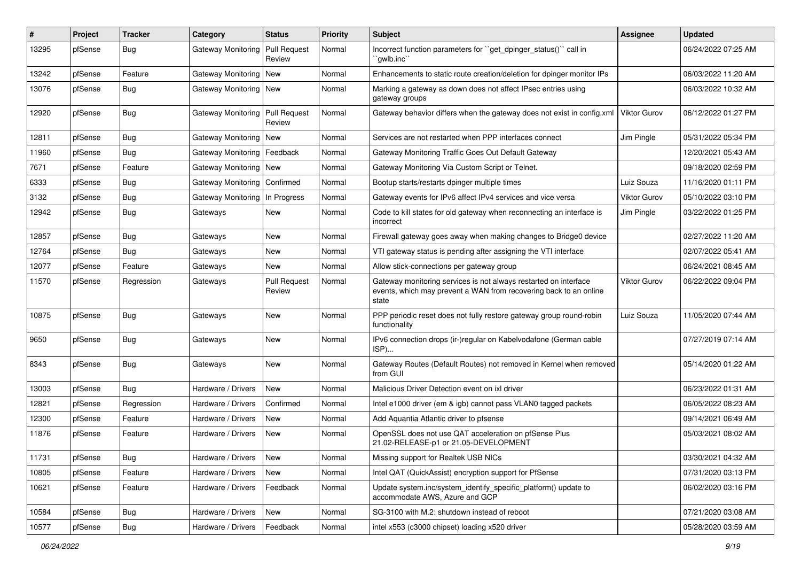| #     | Project | <b>Tracker</b> | Category                         | <b>Status</b>                 | <b>Priority</b> | <b>Subject</b>                                                                                                                                 | Assignee     | <b>Updated</b>      |
|-------|---------|----------------|----------------------------------|-------------------------------|-----------------|------------------------------------------------------------------------------------------------------------------------------------------------|--------------|---------------------|
| 13295 | pfSense | <b>Bug</b>     | Gateway Monitoring               | Pull Request<br>Review        | Normal          | Incorrect function parameters for "get_dpinger_status()" call in<br>`qwlb.inc``                                                                |              | 06/24/2022 07:25 AM |
| 13242 | pfSense | Feature        | Gateway Monitoring   New         |                               | Normal          | Enhancements to static route creation/deletion for dpinger monitor IPs                                                                         |              | 06/03/2022 11:20 AM |
| 13076 | pfSense | <b>Bug</b>     | Gateway Monitoring   New         |                               | Normal          | Marking a gateway as down does not affect IPsec entries using<br>gateway groups                                                                |              | 06/03/2022 10:32 AM |
| 12920 | pfSense | <b>Bug</b>     | Gateway Monitoring               | Pull Request<br>Review        | Normal          | Gateway behavior differs when the gateway does not exist in config.xml                                                                         | Viktor Gurov | 06/12/2022 01:27 PM |
| 12811 | pfSense | Bug            | Gateway Monitoring   New         |                               | Normal          | Services are not restarted when PPP interfaces connect                                                                                         | Jim Pingle   | 05/31/2022 05:34 PM |
| 11960 | pfSense | Bug            | Gateway Monitoring               | Feedback                      | Normal          | Gateway Monitoring Traffic Goes Out Default Gateway                                                                                            |              | 12/20/2021 05:43 AM |
| 7671  | pfSense | Feature        | Gateway Monitoring   New         |                               | Normal          | Gateway Monitoring Via Custom Script or Telnet.                                                                                                |              | 09/18/2020 02:59 PM |
| 6333  | pfSense | <b>Bug</b>     | Gateway Monitoring   Confirmed   |                               | Normal          | Bootup starts/restarts dpinger multiple times                                                                                                  | Luiz Souza   | 11/16/2020 01:11 PM |
| 3132  | pfSense | <b>Bug</b>     | Gateway Monitoring   In Progress |                               | Normal          | Gateway events for IPv6 affect IPv4 services and vice versa                                                                                    | Viktor Gurov | 05/10/2022 03:10 PM |
| 12942 | pfSense | <b>Bug</b>     | Gateways                         | New                           | Normal          | Code to kill states for old gateway when reconnecting an interface is<br>incorrect                                                             | Jim Pingle   | 03/22/2022 01:25 PM |
| 12857 | pfSense | <b>Bug</b>     | Gateways                         | New                           | Normal          | Firewall gateway goes away when making changes to Bridge0 device                                                                               |              | 02/27/2022 11:20 AM |
| 12764 | pfSense | <b>Bug</b>     | Gateways                         | New                           | Normal          | VTI gateway status is pending after assigning the VTI interface                                                                                |              | 02/07/2022 05:41 AM |
| 12077 | pfSense | Feature        | Gateways                         | New                           | Normal          | Allow stick-connections per gateway group                                                                                                      |              | 06/24/2021 08:45 AM |
| 11570 | pfSense | Regression     | Gateways                         | <b>Pull Request</b><br>Review | Normal          | Gateway monitoring services is not always restarted on interface<br>events, which may prevent a WAN from recovering back to an online<br>state | Viktor Gurov | 06/22/2022 09:04 PM |
| 10875 | pfSense | Bug            | Gateways                         | New                           | Normal          | PPP periodic reset does not fully restore gateway group round-robin<br>functionality                                                           | Luiz Souza   | 11/05/2020 07:44 AM |
| 9650  | pfSense | <b>Bug</b>     | Gateways                         | New                           | Normal          | IPv6 connection drops (ir-)regular on Kabelvodafone (German cable<br>ISP)                                                                      |              | 07/27/2019 07:14 AM |
| 8343  | pfSense | Bug            | Gateways                         | New                           | Normal          | Gateway Routes (Default Routes) not removed in Kernel when removed<br>from GUI                                                                 |              | 05/14/2020 01:22 AM |
| 13003 | pfSense | Bug            | Hardware / Drivers               | <b>New</b>                    | Normal          | Malicious Driver Detection event on ixl driver                                                                                                 |              | 06/23/2022 01:31 AM |
| 12821 | pfSense | Regression     | Hardware / Drivers               | Confirmed                     | Normal          | Intel e1000 driver (em & igb) cannot pass VLAN0 tagged packets                                                                                 |              | 06/05/2022 08:23 AM |
| 12300 | pfSense | Feature        | Hardware / Drivers               | New                           | Normal          | Add Aquantia Atlantic driver to pfsense                                                                                                        |              | 09/14/2021 06:49 AM |
| 11876 | pfSense | Feature        | Hardware / Drivers               | New                           | Normal          | OpenSSL does not use QAT acceleration on pfSense Plus<br>21.02-RELEASE-p1 or 21.05-DEVELOPMENT                                                 |              | 05/03/2021 08:02 AM |
| 11731 | pfSense | Bug            | Hardware / Drivers               | New                           | Normal          | Missing support for Realtek USB NICs                                                                                                           |              | 03/30/2021 04:32 AM |
| 10805 | pfSense | Feature        | Hardware / Drivers               | New                           | Normal          | Intel QAT (QuickAssist) encryption support for PfSense                                                                                         |              | 07/31/2020 03:13 PM |
| 10621 | pfSense | Feature        | Hardware / Drivers               | Feedback                      | Normal          | Update system.inc/system_identify_specific_platform() update to<br>accommodate AWS, Azure and GCP                                              |              | 06/02/2020 03:16 PM |
| 10584 | pfSense | Bug            | Hardware / Drivers               | New                           | Normal          | SG-3100 with M.2: shutdown instead of reboot                                                                                                   |              | 07/21/2020 03:08 AM |
| 10577 | pfSense | Bug            | Hardware / Drivers               | Feedback                      | Normal          | intel x553 (c3000 chipset) loading x520 driver                                                                                                 |              | 05/28/2020 03:59 AM |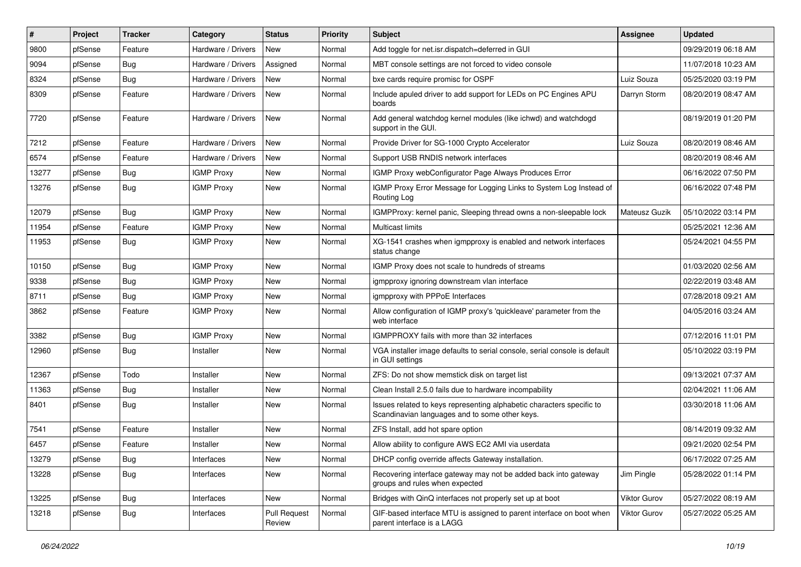| #     | Project | <b>Tracker</b> | Category           | <b>Status</b>                 | <b>Priority</b> | Subject                                                                                                                 | <b>Assignee</b> | <b>Updated</b>      |
|-------|---------|----------------|--------------------|-------------------------------|-----------------|-------------------------------------------------------------------------------------------------------------------------|-----------------|---------------------|
| 9800  | pfSense | Feature        | Hardware / Drivers | New                           | Normal          | Add toggle for net.isr.dispatch=deferred in GUI                                                                         |                 | 09/29/2019 06:18 AM |
| 9094  | pfSense | Bug            | Hardware / Drivers | Assigned                      | Normal          | MBT console settings are not forced to video console                                                                    |                 | 11/07/2018 10:23 AM |
| 8324  | pfSense | Bug            | Hardware / Drivers | New                           | Normal          | bxe cards require promisc for OSPF                                                                                      | Luiz Souza      | 05/25/2020 03:19 PM |
| 8309  | pfSense | Feature        | Hardware / Drivers | New                           | Normal          | Include apuled driver to add support for LEDs on PC Engines APU<br>boards                                               | Darryn Storm    | 08/20/2019 08:47 AM |
| 7720  | pfSense | Feature        | Hardware / Drivers | New                           | Normal          | Add general watchdog kernel modules (like ichwd) and watchdogd<br>support in the GUI.                                   |                 | 08/19/2019 01:20 PM |
| 7212  | pfSense | Feature        | Hardware / Drivers | <b>New</b>                    | Normal          | Provide Driver for SG-1000 Crypto Accelerator                                                                           | Luiz Souza      | 08/20/2019 08:46 AM |
| 6574  | pfSense | Feature        | Hardware / Drivers | New                           | Normal          | Support USB RNDIS network interfaces                                                                                    |                 | 08/20/2019 08:46 AM |
| 13277 | pfSense | Bug            | <b>IGMP Proxy</b>  | New                           | Normal          | IGMP Proxy webConfigurator Page Always Produces Error                                                                   |                 | 06/16/2022 07:50 PM |
| 13276 | pfSense | <b>Bug</b>     | <b>IGMP Proxy</b>  | New                           | Normal          | IGMP Proxy Error Message for Logging Links to System Log Instead of<br>Routing Log                                      |                 | 06/16/2022 07:48 PM |
| 12079 | pfSense | Bug            | <b>IGMP Proxy</b>  | <b>New</b>                    | Normal          | IGMPProxy: kernel panic, Sleeping thread owns a non-sleepable lock                                                      | Mateusz Guzik   | 05/10/2022 03:14 PM |
| 11954 | pfSense | Feature        | <b>IGMP Proxy</b>  | New                           | Normal          | Multicast limits                                                                                                        |                 | 05/25/2021 12:36 AM |
| 11953 | pfSense | Bug            | <b>IGMP Proxy</b>  | New                           | Normal          | XG-1541 crashes when igmpproxy is enabled and network interfaces<br>status change                                       |                 | 05/24/2021 04:55 PM |
| 10150 | pfSense | Bug            | <b>IGMP Proxy</b>  | New                           | Normal          | IGMP Proxy does not scale to hundreds of streams                                                                        |                 | 01/03/2020 02:56 AM |
| 9338  | pfSense | Bug            | <b>IGMP Proxy</b>  | <b>New</b>                    | Normal          | igmpproxy ignoring downstream vlan interface                                                                            |                 | 02/22/2019 03:48 AM |
| 8711  | pfSense | Bug            | <b>IGMP Proxy</b>  | New                           | Normal          | igmpproxy with PPPoE Interfaces                                                                                         |                 | 07/28/2018 09:21 AM |
| 3862  | pfSense | Feature        | <b>IGMP Proxy</b>  | <b>New</b>                    | Normal          | Allow configuration of IGMP proxy's 'quickleave' parameter from the<br>web interface                                    |                 | 04/05/2016 03:24 AM |
| 3382  | pfSense | Bug            | <b>IGMP Proxy</b>  | New                           | Normal          | IGMPPROXY fails with more than 32 interfaces                                                                            |                 | 07/12/2016 11:01 PM |
| 12960 | pfSense | <b>Bug</b>     | Installer          | New                           | Normal          | VGA installer image defaults to serial console, serial console is default<br>in GUI settings                            |                 | 05/10/2022 03:19 PM |
| 12367 | pfSense | Todo           | Installer          | New                           | Normal          | ZFS: Do not show memstick disk on target list                                                                           |                 | 09/13/2021 07:37 AM |
| 11363 | pfSense | Bug            | Installer          | <b>New</b>                    | Normal          | Clean Install 2.5.0 fails due to hardware incompability                                                                 |                 | 02/04/2021 11:06 AM |
| 8401  | pfSense | <b>Bug</b>     | Installer          | New                           | Normal          | Issues related to keys representing alphabetic characters specific to<br>Scandinavian languages and to some other keys. |                 | 03/30/2018 11:06 AM |
| 7541  | pfSense | Feature        | Installer          | <b>New</b>                    | Normal          | ZFS Install, add hot spare option                                                                                       |                 | 08/14/2019 09:32 AM |
| 6457  | pfSense | Feature        | Installer          | New                           | Normal          | Allow ability to configure AWS EC2 AMI via userdata                                                                     |                 | 09/21/2020 02:54 PM |
| 13279 | pfSense | <b>Bug</b>     | Interfaces         | New                           | Normal          | DHCP config override affects Gateway installation.                                                                      |                 | 06/17/2022 07:25 AM |
| 13228 | pfSense | <b>Bug</b>     | Interfaces         | New                           | Normal          | Recovering interface gateway may not be added back into gateway<br>groups and rules when expected                       | Jim Pingle      | 05/28/2022 01:14 PM |
| 13225 | pfSense | Bug            | Interfaces         | New                           | Normal          | Bridges with QinQ interfaces not properly set up at boot                                                                | Viktor Gurov    | 05/27/2022 08:19 AM |
| 13218 | pfSense | <b>Bug</b>     | Interfaces         | <b>Pull Request</b><br>Review | Normal          | GIF-based interface MTU is assigned to parent interface on boot when<br>parent interface is a LAGG                      | Viktor Gurov    | 05/27/2022 05:25 AM |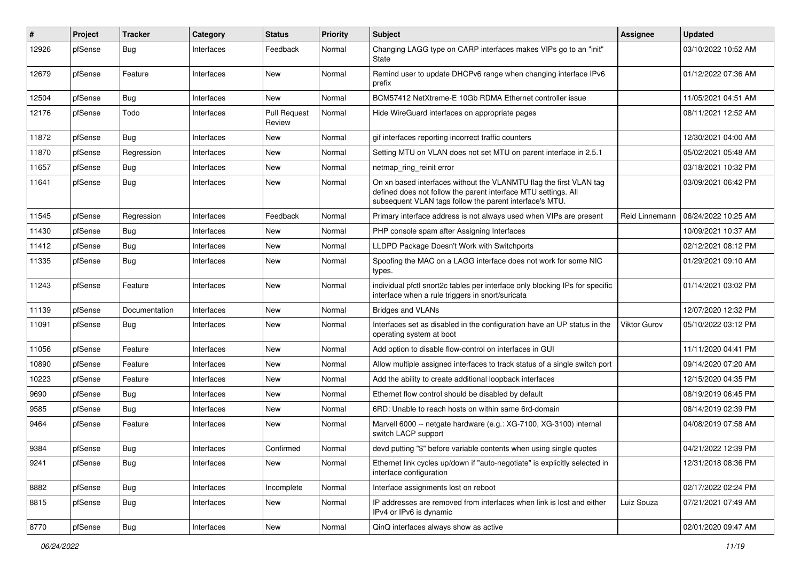| ∦     | Project | <b>Tracker</b> | Category   | <b>Status</b>                 | <b>Priority</b> | <b>Subject</b>                                                                                                                                                                                  | <b>Assignee</b> | <b>Updated</b>      |
|-------|---------|----------------|------------|-------------------------------|-----------------|-------------------------------------------------------------------------------------------------------------------------------------------------------------------------------------------------|-----------------|---------------------|
| 12926 | pfSense | <b>Bug</b>     | Interfaces | Feedback                      | Normal          | Changing LAGG type on CARP interfaces makes VIPs go to an "init"<br><b>State</b>                                                                                                                |                 | 03/10/2022 10:52 AM |
| 12679 | pfSense | Feature        | Interfaces | New                           | Normal          | Remind user to update DHCPv6 range when changing interface IPv6<br>prefix                                                                                                                       |                 | 01/12/2022 07:36 AM |
| 12504 | pfSense | Bug            | Interfaces | <b>New</b>                    | Normal          | BCM57412 NetXtreme-E 10Gb RDMA Ethernet controller issue                                                                                                                                        |                 | 11/05/2021 04:51 AM |
| 12176 | pfSense | Todo           | Interfaces | <b>Pull Request</b><br>Review | Normal          | Hide WireGuard interfaces on appropriate pages                                                                                                                                                  |                 | 08/11/2021 12:52 AM |
| 11872 | pfSense | Bug            | Interfaces | <b>New</b>                    | Normal          | gif interfaces reporting incorrect traffic counters                                                                                                                                             |                 | 12/30/2021 04:00 AM |
| 11870 | pfSense | Regression     | Interfaces | New                           | Normal          | Setting MTU on VLAN does not set MTU on parent interface in 2.5.1                                                                                                                               |                 | 05/02/2021 05:48 AM |
| 11657 | pfSense | Bug            | Interfaces | <b>New</b>                    | Normal          | netmap_ring_reinit error                                                                                                                                                                        |                 | 03/18/2021 10:32 PM |
| 11641 | pfSense | Bug            | Interfaces | New                           | Normal          | On xn based interfaces without the VLANMTU flag the first VLAN tag<br>defined does not follow the parent interface MTU settings. All<br>subsequent VLAN tags follow the parent interface's MTU. |                 | 03/09/2021 06:42 PM |
| 11545 | pfSense | Regression     | Interfaces | Feedback                      | Normal          | Primary interface address is not always used when VIPs are present                                                                                                                              | Reid Linnemann  | 06/24/2022 10:25 AM |
| 11430 | pfSense | <b>Bug</b>     | Interfaces | New                           | Normal          | PHP console spam after Assigning Interfaces                                                                                                                                                     |                 | 10/09/2021 10:37 AM |
| 11412 | pfSense | Bug            | Interfaces | <b>New</b>                    | Normal          | LLDPD Package Doesn't Work with Switchports                                                                                                                                                     |                 | 02/12/2021 08:12 PM |
| 11335 | pfSense | Bug            | Interfaces | New                           | Normal          | Spoofing the MAC on a LAGG interface does not work for some NIC<br>types.                                                                                                                       |                 | 01/29/2021 09:10 AM |
| 11243 | pfSense | Feature        | Interfaces | New                           | Normal          | individual pfctl snort2c tables per interface only blocking IPs for specific<br>interface when a rule triggers in snort/suricata                                                                |                 | 01/14/2021 03:02 PM |
| 11139 | pfSense | Documentation  | Interfaces | New                           | Normal          | <b>Bridges and VLANs</b>                                                                                                                                                                        |                 | 12/07/2020 12:32 PM |
| 11091 | pfSense | <b>Bug</b>     | Interfaces | New                           | Normal          | Interfaces set as disabled in the configuration have an UP status in the<br>operating system at boot                                                                                            | Viktor Gurov    | 05/10/2022 03:12 PM |
| 11056 | pfSense | Feature        | Interfaces | <b>New</b>                    | Normal          | Add option to disable flow-control on interfaces in GUI                                                                                                                                         |                 | 11/11/2020 04:41 PM |
| 10890 | pfSense | Feature        | Interfaces | New                           | Normal          | Allow multiple assigned interfaces to track status of a single switch port                                                                                                                      |                 | 09/14/2020 07:20 AM |
| 10223 | pfSense | Feature        | Interfaces | New                           | Normal          | Add the ability to create additional loopback interfaces                                                                                                                                        |                 | 12/15/2020 04:35 PM |
| 9690  | pfSense | <b>Bug</b>     | Interfaces | New                           | Normal          | Ethernet flow control should be disabled by default                                                                                                                                             |                 | 08/19/2019 06:45 PM |
| 9585  | pfSense | Bug            | Interfaces | New                           | Normal          | 6RD: Unable to reach hosts on within same 6rd-domain                                                                                                                                            |                 | 08/14/2019 02:39 PM |
| 9464  | pfSense | Feature        | Interfaces | New                           | Normal          | Marvell 6000 -- netgate hardware (e.g.: XG-7100, XG-3100) internal<br>switch LACP support                                                                                                       |                 | 04/08/2019 07:58 AM |
| 9384  | pfSense | Bug            | Interfaces | Confirmed                     | Normal          | devd putting "\$" before variable contents when using single quotes                                                                                                                             |                 | 04/21/2022 12:39 PM |
| 9241  | pfSense | <b>Bug</b>     | Interfaces | New                           | Normal          | Ethernet link cycles up/down if "auto-negotiate" is explicitly selected in<br>interface configuration                                                                                           |                 | 12/31/2018 08:36 PM |
| 8882  | pfSense | Bug            | Interfaces | Incomplete                    | Normal          | Interface assignments lost on reboot                                                                                                                                                            |                 | 02/17/2022 02:24 PM |
| 8815  | pfSense | Bug            | Interfaces | New                           | Normal          | IP addresses are removed from interfaces when link is lost and either<br>IPv4 or IPv6 is dynamic                                                                                                | Luiz Souza      | 07/21/2021 07:49 AM |
| 8770  | pfSense | Bug            | Interfaces | New                           | Normal          | QinQ interfaces always show as active                                                                                                                                                           |                 | 02/01/2020 09:47 AM |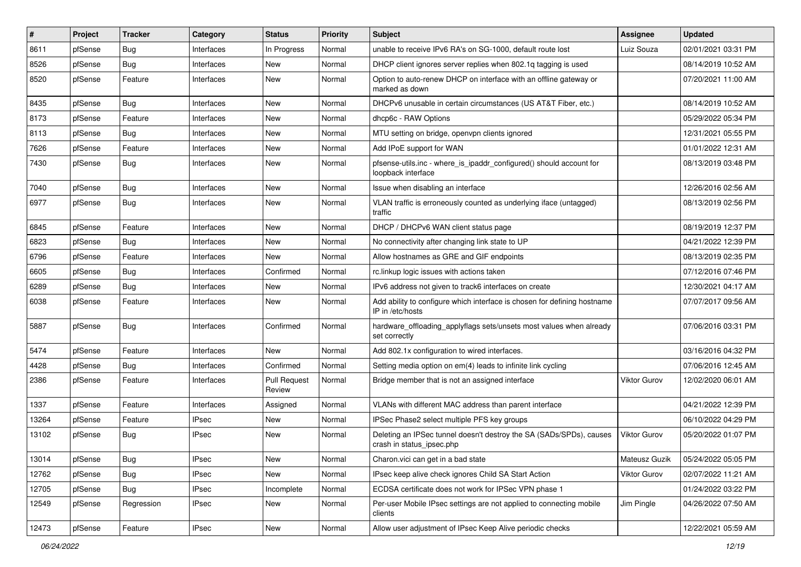| #     | Project | <b>Tracker</b> | Category     | <b>Status</b>                 | <b>Priority</b> | Subject                                                                                          | <b>Assignee</b> | <b>Updated</b>      |
|-------|---------|----------------|--------------|-------------------------------|-----------------|--------------------------------------------------------------------------------------------------|-----------------|---------------------|
| 8611  | pfSense | <b>Bug</b>     | Interfaces   | In Progress                   | Normal          | unable to receive IPv6 RA's on SG-1000, default route lost                                       | Luiz Souza      | 02/01/2021 03:31 PM |
| 8526  | pfSense | Bug            | Interfaces   | New                           | Normal          | DHCP client ignores server replies when 802.1q tagging is used                                   |                 | 08/14/2019 10:52 AM |
| 8520  | pfSense | Feature        | Interfaces   | New                           | Normal          | Option to auto-renew DHCP on interface with an offline gateway or<br>marked as down              |                 | 07/20/2021 11:00 AM |
| 8435  | pfSense | <b>Bug</b>     | Interfaces   | New                           | Normal          | DHCPv6 unusable in certain circumstances (US AT&T Fiber, etc.)                                   |                 | 08/14/2019 10:52 AM |
| 8173  | pfSense | Feature        | Interfaces   | New                           | Normal          | dhcp6c - RAW Options                                                                             |                 | 05/29/2022 05:34 PM |
| 8113  | pfSense | Bug            | Interfaces   | New                           | Normal          | MTU setting on bridge, openypn clients ignored                                                   |                 | 12/31/2021 05:55 PM |
| 7626  | pfSense | Feature        | Interfaces   | <b>New</b>                    | Normal          | Add IPoE support for WAN                                                                         |                 | 01/01/2022 12:31 AM |
| 7430  | pfSense | <b>Bug</b>     | Interfaces   | New                           | Normal          | pfsense-utils.inc - where_is_ipaddr_configured() should account for<br>loopback interface        |                 | 08/13/2019 03:48 PM |
| 7040  | pfSense | Bug            | Interfaces   | New                           | Normal          | Issue when disabling an interface                                                                |                 | 12/26/2016 02:56 AM |
| 6977  | pfSense | <b>Bug</b>     | Interfaces   | New                           | Normal          | VLAN traffic is erroneously counted as underlying iface (untagged)<br>traffic                    |                 | 08/13/2019 02:56 PM |
| 6845  | pfSense | Feature        | Interfaces   | <b>New</b>                    | Normal          | DHCP / DHCPv6 WAN client status page                                                             |                 | 08/19/2019 12:37 PM |
| 6823  | pfSense | Bug            | Interfaces   | New                           | Normal          | No connectivity after changing link state to UP                                                  |                 | 04/21/2022 12:39 PM |
| 6796  | pfSense | Feature        | Interfaces   | <b>New</b>                    | Normal          | Allow hostnames as GRE and GIF endpoints                                                         |                 | 08/13/2019 02:35 PM |
| 6605  | pfSense | <b>Bug</b>     | Interfaces   | Confirmed                     | Normal          | rc.linkup logic issues with actions taken                                                        |                 | 07/12/2016 07:46 PM |
| 6289  | pfSense | <b>Bug</b>     | Interfaces   | New                           | Normal          | IPv6 address not given to track6 interfaces on create                                            |                 | 12/30/2021 04:17 AM |
| 6038  | pfSense | Feature        | Interfaces   | New                           | Normal          | Add ability to configure which interface is chosen for defining hostname<br>IP in /etc/hosts     |                 | 07/07/2017 09:56 AM |
| 5887  | pfSense | <b>Bug</b>     | Interfaces   | Confirmed                     | Normal          | hardware_offloading_applyflags sets/unsets most values when already<br>set correctly             |                 | 07/06/2016 03:31 PM |
| 5474  | pfSense | Feature        | Interfaces   | New                           | Normal          | Add 802.1x configuration to wired interfaces.                                                    |                 | 03/16/2016 04:32 PM |
| 4428  | pfSense | <b>Bug</b>     | Interfaces   | Confirmed                     | Normal          | Setting media option on em(4) leads to infinite link cycling                                     |                 | 07/06/2016 12:45 AM |
| 2386  | pfSense | Feature        | Interfaces   | <b>Pull Request</b><br>Review | Normal          | Bridge member that is not an assigned interface                                                  | Viktor Gurov    | 12/02/2020 06:01 AM |
| 1337  | pfSense | Feature        | Interfaces   | Assigned                      | Normal          | VLANs with different MAC address than parent interface                                           |                 | 04/21/2022 12:39 PM |
| 13264 | pfSense | Feature        | <b>IPsec</b> | New                           | Normal          | IPSec Phase2 select multiple PFS key groups                                                      |                 | 06/10/2022 04:29 PM |
| 13102 | pfSense | <b>Bug</b>     | <b>IPsec</b> | New                           | Normal          | Deleting an IPSec tunnel doesn't destroy the SA (SADs/SPDs), causes<br>crash in status_ipsec.php | Viktor Gurov    | 05/20/2022 01:07 PM |
| 13014 | pfSense | <b>Bug</b>     | <b>IPsec</b> | New                           | Normal          | Charon.vici can get in a bad state                                                               | Mateusz Guzik   | 05/24/2022 05:05 PM |
| 12762 | pfSense | <b>Bug</b>     | <b>IPsec</b> | New                           | Normal          | IPsec keep alive check ignores Child SA Start Action                                             | Viktor Gurov    | 02/07/2022 11:21 AM |
| 12705 | pfSense | <b>Bug</b>     | <b>IPsec</b> | Incomplete                    | Normal          | ECDSA certificate does not work for IPSec VPN phase 1                                            |                 | 01/24/2022 03:22 PM |
| 12549 | pfSense | Regression     | <b>IPsec</b> | New                           | Normal          | Per-user Mobile IPsec settings are not applied to connecting mobile<br>clients                   | Jim Pingle      | 04/26/2022 07:50 AM |
| 12473 | pfSense | Feature        | <b>IPsec</b> | New                           | Normal          | Allow user adjustment of IPsec Keep Alive periodic checks                                        |                 | 12/22/2021 05:59 AM |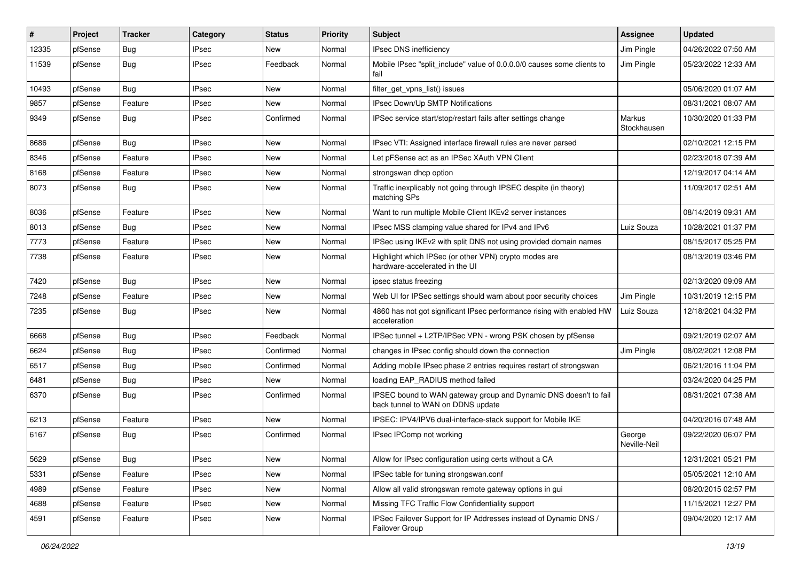| #     | Project | <b>Tracker</b> | Category     | <b>Status</b> | <b>Priority</b> | <b>Subject</b>                                                                                        | Assignee               | <b>Updated</b>      |
|-------|---------|----------------|--------------|---------------|-----------------|-------------------------------------------------------------------------------------------------------|------------------------|---------------------|
| 12335 | pfSense | Bug            | <b>IPsec</b> | New           | Normal          | IPsec DNS inefficiency                                                                                | Jim Pingle             | 04/26/2022 07:50 AM |
| 11539 | pfSense | <b>Bug</b>     | <b>IPsec</b> | Feedback      | Normal          | Mobile IPsec "split_include" value of 0.0.0.0/0 causes some clients to<br>fail                        | Jim Pingle             | 05/23/2022 12:33 AM |
| 10493 | pfSense | Bug            | <b>IPsec</b> | New           | Normal          | filter_get_vpns_list() issues                                                                         |                        | 05/06/2020 01:07 AM |
| 9857  | pfSense | Feature        | <b>IPsec</b> | <b>New</b>    | Normal          | IPsec Down/Up SMTP Notifications                                                                      |                        | 08/31/2021 08:07 AM |
| 9349  | pfSense | Bug            | <b>IPsec</b> | Confirmed     | Normal          | IPSec service start/stop/restart fails after settings change                                          | Markus<br>Stockhausen  | 10/30/2020 01:33 PM |
| 8686  | pfSense | Bug            | <b>IPsec</b> | New           | Normal          | IPsec VTI: Assigned interface firewall rules are never parsed                                         |                        | 02/10/2021 12:15 PM |
| 8346  | pfSense | Feature        | <b>IPsec</b> | New           | Normal          | Let pFSense act as an IPSec XAuth VPN Client                                                          |                        | 02/23/2018 07:39 AM |
| 8168  | pfSense | Feature        | <b>IPsec</b> | New           | Normal          | strongswan dhcp option                                                                                |                        | 12/19/2017 04:14 AM |
| 8073  | pfSense | Bug            | <b>IPsec</b> | New           | Normal          | Traffic inexplicably not going through IPSEC despite (in theory)<br>matching SPs                      |                        | 11/09/2017 02:51 AM |
| 8036  | pfSense | Feature        | <b>IPsec</b> | <b>New</b>    | Normal          | Want to run multiple Mobile Client IKEv2 server instances                                             |                        | 08/14/2019 09:31 AM |
| 8013  | pfSense | <b>Bug</b>     | <b>IPsec</b> | New           | Normal          | IPsec MSS clamping value shared for IPv4 and IPv6                                                     | Luiz Souza             | 10/28/2021 01:37 PM |
| 7773  | pfSense | Feature        | <b>IPsec</b> | New           | Normal          | IPSec using IKEv2 with split DNS not using provided domain names                                      |                        | 08/15/2017 05:25 PM |
| 7738  | pfSense | Feature        | <b>IPsec</b> | New           | Normal          | Highlight which IPSec (or other VPN) crypto modes are<br>hardware-accelerated in the UI               |                        | 08/13/2019 03:46 PM |
| 7420  | pfSense | Bug            | <b>IPsec</b> | New           | Normal          | ipsec status freezing                                                                                 |                        | 02/13/2020 09:09 AM |
| 7248  | pfSense | Feature        | <b>IPsec</b> | New           | Normal          | Web UI for IPSec settings should warn about poor security choices                                     | Jim Pingle             | 10/31/2019 12:15 PM |
| 7235  | pfSense | Bug            | <b>IPsec</b> | New           | Normal          | 4860 has not got significant IPsec performance rising with enabled HW<br>acceleration                 | Luiz Souza             | 12/18/2021 04:32 PM |
| 6668  | pfSense | Bug            | <b>IPsec</b> | Feedback      | Normal          | IPSec tunnel + L2TP/IPSec VPN - wrong PSK chosen by pfSense                                           |                        | 09/21/2019 02:07 AM |
| 6624  | pfSense | Bug            | <b>IPsec</b> | Confirmed     | Normal          | changes in IPsec config should down the connection                                                    | Jim Pingle             | 08/02/2021 12:08 PM |
| 6517  | pfSense | Bug            | <b>IPsec</b> | Confirmed     | Normal          | Adding mobile IPsec phase 2 entries requires restart of strongswan                                    |                        | 06/21/2016 11:04 PM |
| 6481  | pfSense | Bug            | <b>IPsec</b> | New           | Normal          | loading EAP_RADIUS method failed                                                                      |                        | 03/24/2020 04:25 PM |
| 6370  | pfSense | Bug            | <b>IPsec</b> | Confirmed     | Normal          | IPSEC bound to WAN gateway group and Dynamic DNS doesn't to fail<br>back tunnel to WAN on DDNS update |                        | 08/31/2021 07:38 AM |
| 6213  | pfSense | Feature        | <b>IPsec</b> | New           | Normal          | IPSEC: IPV4/IPV6 dual-interface-stack support for Mobile IKE                                          |                        | 04/20/2016 07:48 AM |
| 6167  | pfSense | Bug            | <b>IPsec</b> | Confirmed     | Normal          | IPsec IPComp not working                                                                              | George<br>Neville-Neil | 09/22/2020 06:07 PM |
| 5629  | pfSense | <b>Bug</b>     | <b>IPsec</b> | New           | Normal          | Allow for IPsec configuration using certs without a CA                                                |                        | 12/31/2021 05:21 PM |
| 5331  | pfSense | Feature        | <b>IPsec</b> | New           | Normal          | IPSec table for tuning strongswan.conf                                                                |                        | 05/05/2021 12:10 AM |
| 4989  | pfSense | Feature        | <b>IPsec</b> | New           | Normal          | Allow all valid strongswan remote gateway options in gui                                              |                        | 08/20/2015 02:57 PM |
| 4688  | pfSense | Feature        | <b>IPsec</b> | New           | Normal          | Missing TFC Traffic Flow Confidentiality support                                                      |                        | 11/15/2021 12:27 PM |
| 4591  | pfSense | Feature        | <b>IPsec</b> | New           | Normal          | IPSec Failover Support for IP Addresses instead of Dynamic DNS /<br>Failover Group                    |                        | 09/04/2020 12:17 AM |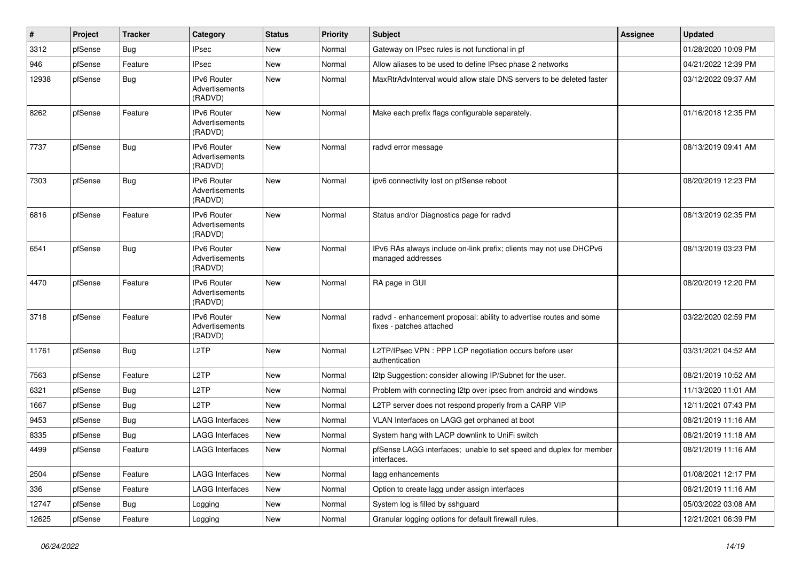| $\sharp$ | Project | <b>Tracker</b> | Category                                        | <b>Status</b> | <b>Priority</b> | <b>Subject</b>                                                                                 | <b>Assignee</b> | <b>Updated</b>      |
|----------|---------|----------------|-------------------------------------------------|---------------|-----------------|------------------------------------------------------------------------------------------------|-----------------|---------------------|
| 3312     | pfSense | Bug            | <b>IPsec</b>                                    | New           | Normal          | Gateway on IPsec rules is not functional in pf                                                 |                 | 01/28/2020 10:09 PM |
| 946      | pfSense | Feature        | <b>IPsec</b>                                    | <b>New</b>    | Normal          | Allow aliases to be used to define IPsec phase 2 networks                                      |                 | 04/21/2022 12:39 PM |
| 12938    | pfSense | Bug            | <b>IPv6 Router</b><br>Advertisements<br>(RADVD) | New           | Normal          | MaxRtrAdvInterval would allow stale DNS servers to be deleted faster                           |                 | 03/12/2022 09:37 AM |
| 8262     | pfSense | Feature        | IPv6 Router<br>Advertisements<br>(RADVD)        | New           | Normal          | Make each prefix flags configurable separately.                                                |                 | 01/16/2018 12:35 PM |
| 7737     | pfSense | <b>Bug</b>     | IPv6 Router<br>Advertisements<br>(RADVD)        | <b>New</b>    | Normal          | radvd error message                                                                            |                 | 08/13/2019 09:41 AM |
| 7303     | pfSense | <b>Bug</b>     | IPv6 Router<br>Advertisements<br>(RADVD)        | New           | Normal          | ipv6 connectivity lost on pfSense reboot                                                       |                 | 08/20/2019 12:23 PM |
| 6816     | pfSense | Feature        | IPv6 Router<br>Advertisements<br>(RADVD)        | New           | Normal          | Status and/or Diagnostics page for radvd                                                       |                 | 08/13/2019 02:35 PM |
| 6541     | pfSense | Bug            | IPv6 Router<br>Advertisements<br>(RADVD)        | <b>New</b>    | Normal          | IPv6 RAs always include on-link prefix; clients may not use DHCPv6<br>managed addresses        |                 | 08/13/2019 03:23 PM |
| 4470     | pfSense | Feature        | IPv6 Router<br>Advertisements<br>(RADVD)        | <b>New</b>    | Normal          | RA page in GUI                                                                                 |                 | 08/20/2019 12:20 PM |
| 3718     | pfSense | Feature        | IPv6 Router<br>Advertisements<br>(RADVD)        | New           | Normal          | radvd - enhancement proposal: ability to advertise routes and some<br>fixes - patches attached |                 | 03/22/2020 02:59 PM |
| 11761    | pfSense | Bug            | L <sub>2</sub> TP                               | New           | Normal          | L2TP/IPsec VPN : PPP LCP negotiation occurs before user<br>authentication                      |                 | 03/31/2021 04:52 AM |
| 7563     | pfSense | Feature        | L <sub>2</sub> TP                               | New           | Normal          | I2tp Suggestion: consider allowing IP/Subnet for the user.                                     |                 | 08/21/2019 10:52 AM |
| 6321     | pfSense | Bug            | L <sub>2</sub> TP                               | New           | Normal          | Problem with connecting I2tp over ipsec from android and windows                               |                 | 11/13/2020 11:01 AM |
| 1667     | pfSense | Bug            | L <sub>2</sub> TP                               | New           | Normal          | L2TP server does not respond properly from a CARP VIP                                          |                 | 12/11/2021 07:43 PM |
| 9453     | pfSense | Bug            | <b>LAGG Interfaces</b>                          | New           | Normal          | VLAN Interfaces on LAGG get orphaned at boot                                                   |                 | 08/21/2019 11:16 AM |
| 8335     | pfSense | Bug            | <b>LAGG Interfaces</b>                          | New           | Normal          | System hang with LACP downlink to UniFi switch                                                 |                 | 08/21/2019 11:18 AM |
| 4499     | pfSense | Feature        | LAGG Interfaces                                 | New           | Normal          | pfSense LAGG interfaces; unable to set speed and duplex for member<br>interfaces.              |                 | 08/21/2019 11:16 AM |
| 2504     | pfSense | Feature        | <b>LAGG Interfaces</b>                          | New           | Normal          | lagg enhancements                                                                              |                 | 01/08/2021 12:17 PM |
| 336      | pfSense | Feature        | <b>LAGG Interfaces</b>                          | New           | Normal          | Option to create lagg under assign interfaces                                                  |                 | 08/21/2019 11:16 AM |
| 12747    | pfSense | <b>Bug</b>     | Logging                                         | New           | Normal          | System log is filled by sshguard                                                               |                 | 05/03/2022 03:08 AM |
| 12625    | pfSense | Feature        | Logging                                         | New           | Normal          | Granular logging options for default firewall rules.                                           |                 | 12/21/2021 06:39 PM |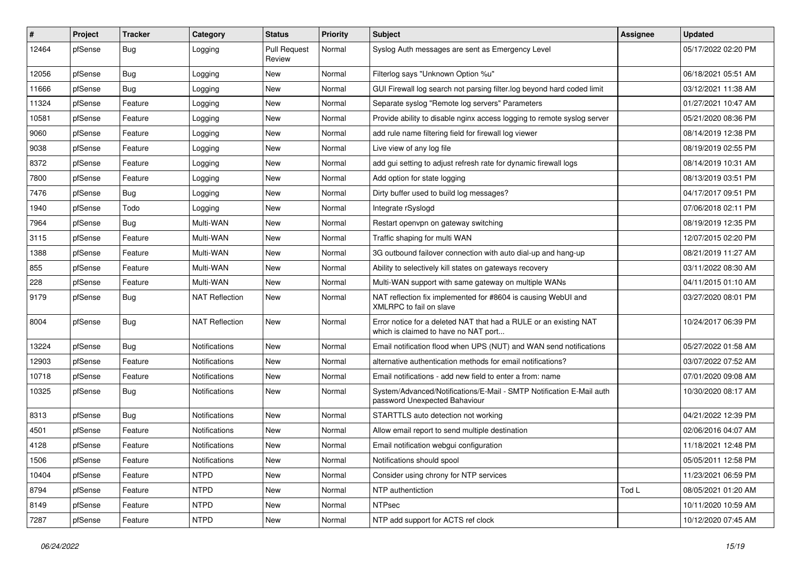| #     | Project | <b>Tracker</b> | Category              | <b>Status</b>                 | <b>Priority</b> | <b>Subject</b>                                                                                            | <b>Assignee</b> | <b>Updated</b>      |
|-------|---------|----------------|-----------------------|-------------------------------|-----------------|-----------------------------------------------------------------------------------------------------------|-----------------|---------------------|
| 12464 | pfSense | Bug            | Logging               | <b>Pull Request</b><br>Review | Normal          | Syslog Auth messages are sent as Emergency Level                                                          |                 | 05/17/2022 02:20 PM |
| 12056 | pfSense | Bug            | Logging               | New                           | Normal          | Filterlog says "Unknown Option %u"                                                                        |                 | 06/18/2021 05:51 AM |
| 11666 | pfSense | <b>Bug</b>     | Logging               | New                           | Normal          | GUI Firewall log search not parsing filter.log beyond hard coded limit                                    |                 | 03/12/2021 11:38 AM |
| 11324 | pfSense | Feature        | Logging               | New                           | Normal          | Separate syslog "Remote log servers" Parameters                                                           |                 | 01/27/2021 10:47 AM |
| 10581 | pfSense | Feature        | Logging               | New                           | Normal          | Provide ability to disable nginx access logging to remote syslog server                                   |                 | 05/21/2020 08:36 PM |
| 9060  | pfSense | Feature        | Logging               | New                           | Normal          | add rule name filtering field for firewall log viewer                                                     |                 | 08/14/2019 12:38 PM |
| 9038  | pfSense | Feature        | Logging               | New                           | Normal          | Live view of any log file                                                                                 |                 | 08/19/2019 02:55 PM |
| 8372  | pfSense | Feature        | Logging               | New                           | Normal          | add gui setting to adjust refresh rate for dynamic firewall logs                                          |                 | 08/14/2019 10:31 AM |
| 7800  | pfSense | Feature        | Logging               | New                           | Normal          | Add option for state logging                                                                              |                 | 08/13/2019 03:51 PM |
| 7476  | pfSense | Bug            | Logging               | New                           | Normal          | Dirty buffer used to build log messages?                                                                  |                 | 04/17/2017 09:51 PM |
| 1940  | pfSense | Todo           | Logging               | New                           | Normal          | Integrate rSyslogd                                                                                        |                 | 07/06/2018 02:11 PM |
| 7964  | pfSense | Bug            | Multi-WAN             | New                           | Normal          | Restart openvpn on gateway switching                                                                      |                 | 08/19/2019 12:35 PM |
| 3115  | pfSense | Feature        | Multi-WAN             | New                           | Normal          | Traffic shaping for multi WAN                                                                             |                 | 12/07/2015 02:20 PM |
| 1388  | pfSense | Feature        | Multi-WAN             | New                           | Normal          | 3G outbound failover connection with auto dial-up and hang-up                                             |                 | 08/21/2019 11:27 AM |
| 855   | pfSense | Feature        | Multi-WAN             | New                           | Normal          | Ability to selectively kill states on gateways recovery                                                   |                 | 03/11/2022 08:30 AM |
| 228   | pfSense | Feature        | Multi-WAN             | New                           | Normal          | Multi-WAN support with same gateway on multiple WANs                                                      |                 | 04/11/2015 01:10 AM |
| 9179  | pfSense | <b>Bug</b>     | <b>NAT Reflection</b> | New                           | Normal          | NAT reflection fix implemented for #8604 is causing WebUI and<br>XMLRPC to fail on slave                  |                 | 03/27/2020 08:01 PM |
| 8004  | pfSense | Bug            | <b>NAT Reflection</b> | New                           | Normal          | Error notice for a deleted NAT that had a RULE or an existing NAT<br>which is claimed to have no NAT port |                 | 10/24/2017 06:39 PM |
| 13224 | pfSense | Bug            | Notifications         | New                           | Normal          | Email notification flood when UPS (NUT) and WAN send notifications                                        |                 | 05/27/2022 01:58 AM |
| 12903 | pfSense | Feature        | <b>Notifications</b>  | New                           | Normal          | alternative authentication methods for email notifications?                                               |                 | 03/07/2022 07:52 AM |
| 10718 | pfSense | Feature        | <b>Notifications</b>  | New                           | Normal          | Email notifications - add new field to enter a from: name                                                 |                 | 07/01/2020 09:08 AM |
| 10325 | pfSense | <b>Bug</b>     | <b>Notifications</b>  | New                           | Normal          | System/Advanced/Notifications/E-Mail - SMTP Notification E-Mail auth<br>password Unexpected Bahaviour     |                 | 10/30/2020 08:17 AM |
| 8313  | pfSense | Bug            | <b>Notifications</b>  | New                           | Normal          | STARTTLS auto detection not working                                                                       |                 | 04/21/2022 12:39 PM |
| 4501  | pfSense | Feature        | Notifications         | New                           | Normal          | Allow email report to send multiple destination                                                           |                 | 02/06/2016 04:07 AM |
| 4128  | pfSense | Feature        | <b>Notifications</b>  | New                           | Normal          | Email notification webqui configuration                                                                   |                 | 11/18/2021 12:48 PM |
| 1506  | pfSense | Feature        | Notifications         | New                           | Normal          | Notifications should spool                                                                                |                 | 05/05/2011 12:58 PM |
| 10404 | pfSense | Feature        | <b>NTPD</b>           | New                           | Normal          | Consider using chrony for NTP services                                                                    |                 | 11/23/2021 06:59 PM |
| 8794  | pfSense | Feature        | <b>NTPD</b>           | New                           | Normal          | NTP authentiction                                                                                         | Tod L           | 08/05/2021 01:20 AM |
| 8149  | pfSense | Feature        | <b>NTPD</b>           | New                           | Normal          | <b>NTPsec</b>                                                                                             |                 | 10/11/2020 10:59 AM |
| 7287  | pfSense | Feature        | <b>NTPD</b>           | New                           | Normal          | NTP add support for ACTS ref clock                                                                        |                 | 10/12/2020 07:45 AM |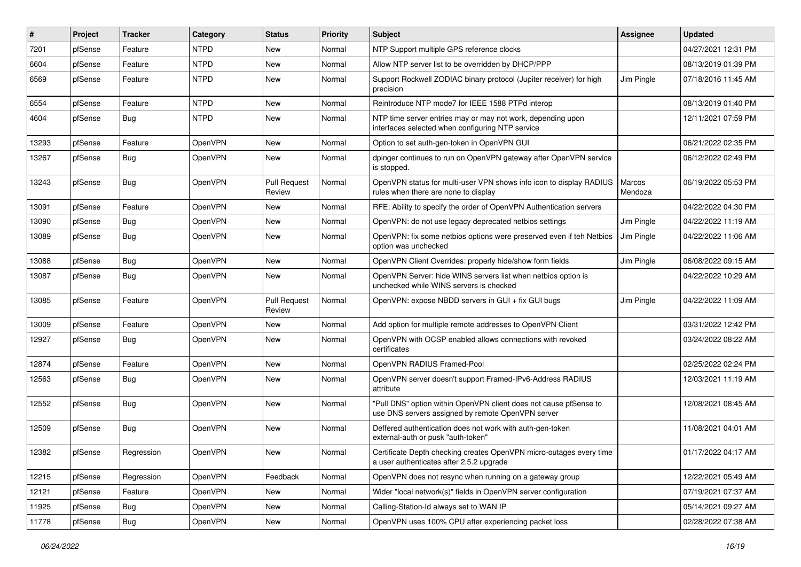| ∦     | Project | Tracker    | Category       | <b>Status</b>                 | <b>Priority</b> | <b>Subject</b>                                                                                                         | <b>Assignee</b>   | <b>Updated</b>      |
|-------|---------|------------|----------------|-------------------------------|-----------------|------------------------------------------------------------------------------------------------------------------------|-------------------|---------------------|
| 7201  | pfSense | Feature    | <b>NTPD</b>    | New                           | Normal          | NTP Support multiple GPS reference clocks                                                                              |                   | 04/27/2021 12:31 PM |
| 6604  | pfSense | Feature    | <b>NTPD</b>    | New                           | Normal          | Allow NTP server list to be overridden by DHCP/PPP                                                                     |                   | 08/13/2019 01:39 PM |
| 6569  | pfSense | Feature    | <b>NTPD</b>    | New                           | Normal          | Support Rockwell ZODIAC binary protocol (Jupiter receiver) for high<br>precision                                       | Jim Pingle        | 07/18/2016 11:45 AM |
| 6554  | pfSense | Feature    | <b>NTPD</b>    | New                           | Normal          | Reintroduce NTP mode7 for IEEE 1588 PTPd interop                                                                       |                   | 08/13/2019 01:40 PM |
| 4604  | pfSense | Bug        | <b>NTPD</b>    | New                           | Normal          | NTP time server entries may or may not work, depending upon<br>interfaces selected when configuring NTP service        |                   | 12/11/2021 07:59 PM |
| 13293 | pfSense | Feature    | OpenVPN        | <b>New</b>                    | Normal          | Option to set auth-gen-token in OpenVPN GUI                                                                            |                   | 06/21/2022 02:35 PM |
| 13267 | pfSense | <b>Bug</b> | <b>OpenVPN</b> | New                           | Normal          | dpinger continues to run on OpenVPN gateway after OpenVPN service<br>is stopped.                                       |                   | 06/12/2022 02:49 PM |
| 13243 | pfSense | Bug        | OpenVPN        | <b>Pull Request</b><br>Review | Normal          | OpenVPN status for multi-user VPN shows info icon to display RADIUS<br>rules when there are none to display            | Marcos<br>Mendoza | 06/19/2022 05:53 PM |
| 13091 | pfSense | Feature    | OpenVPN        | New                           | Normal          | RFE: Ability to specify the order of OpenVPN Authentication servers                                                    |                   | 04/22/2022 04:30 PM |
| 13090 | pfSense | <b>Bug</b> | <b>OpenVPN</b> | New                           | Normal          | OpenVPN: do not use legacy deprecated netbios settings                                                                 | Jim Pingle        | 04/22/2022 11:19 AM |
| 13089 | pfSense | <b>Bug</b> | OpenVPN        | New                           | Normal          | OpenVPN: fix some netbios options were preserved even if teh Netbios<br>option was unchecked                           | Jim Pingle        | 04/22/2022 11:06 AM |
| 13088 | pfSense | <b>Bug</b> | OpenVPN        | <b>New</b>                    | Normal          | OpenVPN Client Overrides: properly hide/show form fields                                                               | Jim Pingle        | 06/08/2022 09:15 AM |
| 13087 | pfSense | <b>Bug</b> | <b>OpenVPN</b> | New                           | Normal          | OpenVPN Server: hide WINS servers list when netbios option is<br>unchecked while WINS servers is checked               |                   | 04/22/2022 10:29 AM |
| 13085 | pfSense | Feature    | OpenVPN        | <b>Pull Request</b><br>Review | Normal          | OpenVPN: expose NBDD servers in GUI + fix GUI bugs                                                                     | Jim Pingle        | 04/22/2022 11:09 AM |
| 13009 | pfSense | Feature    | OpenVPN        | New                           | Normal          | Add option for multiple remote addresses to OpenVPN Client                                                             |                   | 03/31/2022 12:42 PM |
| 12927 | pfSense | <b>Bug</b> | OpenVPN        | New                           | Normal          | OpenVPN with OCSP enabled allows connections with revoked<br>certificates                                              |                   | 03/24/2022 08:22 AM |
| 12874 | pfSense | Feature    | OpenVPN        | New                           | Normal          | OpenVPN RADIUS Framed-Pool                                                                                             |                   | 02/25/2022 02:24 PM |
| 12563 | pfSense | <b>Bug</b> | <b>OpenVPN</b> | New                           | Normal          | OpenVPN server doesn't support Framed-IPv6-Address RADIUS<br>attribute                                                 |                   | 12/03/2021 11:19 AM |
| 12552 | pfSense | <b>Bug</b> | OpenVPN        | New                           | Normal          | "Pull DNS" option within OpenVPN client does not cause pfSense to<br>use DNS servers assigned by remote OpenVPN server |                   | 12/08/2021 08:45 AM |
| 12509 | pfSense | Bug        | OpenVPN        | New                           | Normal          | Deffered authentication does not work with auth-gen-token<br>external-auth or pusk "auth-token"                        |                   | 11/08/2021 04:01 AM |
| 12382 | pfSense | Regression | OpenVPN        | New                           | Normal          | Certificate Depth checking creates OpenVPN micro-outages every time<br>a user authenticates after 2.5.2 upgrade        |                   | 01/17/2022 04:17 AM |
| 12215 | pfSense | Regression | OpenVPN        | Feedback                      | Normal          | OpenVPN does not resync when running on a gateway group                                                                |                   | 12/22/2021 05:49 AM |
| 12121 | pfSense | Feature    | OpenVPN        | New                           | Normal          | Wider "local network(s)" fields in OpenVPN server configuration                                                        |                   | 07/19/2021 07:37 AM |
| 11925 | pfSense | <b>Bug</b> | OpenVPN        | New                           | Normal          | Calling-Station-Id always set to WAN IP                                                                                |                   | 05/14/2021 09:27 AM |
| 11778 | pfSense | Bug        | OpenVPN        | New                           | Normal          | OpenVPN uses 100% CPU after experiencing packet loss                                                                   |                   | 02/28/2022 07:38 AM |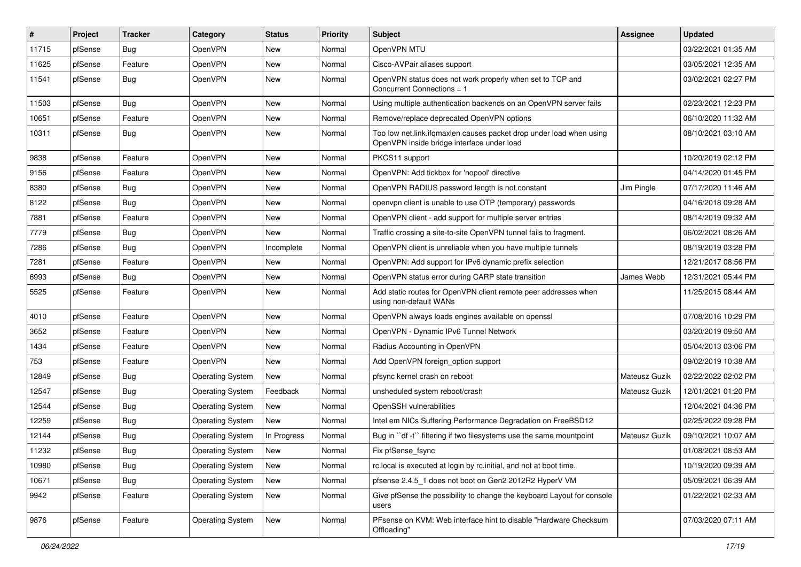| #     | Project | <b>Tracker</b> | Category                | <b>Status</b> | <b>Priority</b> | <b>Subject</b>                                                                                                    | Assignee      | <b>Updated</b>      |
|-------|---------|----------------|-------------------------|---------------|-----------------|-------------------------------------------------------------------------------------------------------------------|---------------|---------------------|
| 11715 | pfSense | Bug            | OpenVPN                 | New           | Normal          | OpenVPN MTU                                                                                                       |               | 03/22/2021 01:35 AM |
| 11625 | pfSense | Feature        | OpenVPN                 | New           | Normal          | Cisco-AVPair aliases support                                                                                      |               | 03/05/2021 12:35 AM |
| 11541 | pfSense | Bug            | OpenVPN                 | New           | Normal          | OpenVPN status does not work properly when set to TCP and<br>Concurrent Connections = 1                           |               | 03/02/2021 02:27 PM |
| 11503 | pfSense | Bug            | OpenVPN                 | New           | Normal          | Using multiple authentication backends on an OpenVPN server fails                                                 |               | 02/23/2021 12:23 PM |
| 10651 | pfSense | Feature        | <b>OpenVPN</b>          | New           | Normal          | Remove/replace deprecated OpenVPN options                                                                         |               | 06/10/2020 11:32 AM |
| 10311 | pfSense | Bug            | OpenVPN                 | New           | Normal          | Too low net.link.ifqmaxlen causes packet drop under load when using<br>OpenVPN inside bridge interface under load |               | 08/10/2021 03:10 AM |
| 9838  | pfSense | Feature        | <b>OpenVPN</b>          | New           | Normal          | PKCS11 support                                                                                                    |               | 10/20/2019 02:12 PM |
| 9156  | pfSense | Feature        | OpenVPN                 | New           | Normal          | OpenVPN: Add tickbox for 'nopool' directive                                                                       |               | 04/14/2020 01:45 PM |
| 8380  | pfSense | Bug            | <b>OpenVPN</b>          | New           | Normal          | OpenVPN RADIUS password length is not constant                                                                    | Jim Pingle    | 07/17/2020 11:46 AM |
| 8122  | pfSense | Bug            | OpenVPN                 | New           | Normal          | openypn client is unable to use OTP (temporary) passwords                                                         |               | 04/16/2018 09:28 AM |
| 7881  | pfSense | Feature        | OpenVPN                 | New           | Normal          | OpenVPN client - add support for multiple server entries                                                          |               | 08/14/2019 09:32 AM |
| 7779  | pfSense | Bug            | OpenVPN                 | New           | Normal          | Traffic crossing a site-to-site OpenVPN tunnel fails to fragment.                                                 |               | 06/02/2021 08:26 AM |
| 7286  | pfSense | Bug            | OpenVPN                 | Incomplete    | Normal          | OpenVPN client is unreliable when you have multiple tunnels                                                       |               | 08/19/2019 03:28 PM |
| 7281  | pfSense | Feature        | OpenVPN                 | New           | Normal          | OpenVPN: Add support for IPv6 dynamic prefix selection                                                            |               | 12/21/2017 08:56 PM |
| 6993  | pfSense | Bug            | OpenVPN                 | New           | Normal          | OpenVPN status error during CARP state transition                                                                 | James Webb    | 12/31/2021 05:44 PM |
| 5525  | pfSense | Feature        | OpenVPN                 | New           | Normal          | Add static routes for OpenVPN client remote peer addresses when<br>using non-default WANs                         |               | 11/25/2015 08:44 AM |
| 4010  | pfSense | Feature        | OpenVPN                 | New           | Normal          | OpenVPN always loads engines available on openssl                                                                 |               | 07/08/2016 10:29 PM |
| 3652  | pfSense | Feature        | OpenVPN                 | New           | Normal          | OpenVPN - Dynamic IPv6 Tunnel Network                                                                             |               | 03/20/2019 09:50 AM |
| 1434  | pfSense | Feature        | OpenVPN                 | New           | Normal          | Radius Accounting in OpenVPN                                                                                      |               | 05/04/2013 03:06 PM |
| 753   | pfSense | Feature        | OpenVPN                 | New           | Normal          | Add OpenVPN foreign option support                                                                                |               | 09/02/2019 10:38 AM |
| 12849 | pfSense | Bug            | <b>Operating System</b> | New           | Normal          | pfsync kernel crash on reboot                                                                                     | Mateusz Guzik | 02/22/2022 02:02 PM |
| 12547 | pfSense | Bug            | <b>Operating System</b> | Feedback      | Normal          | unsheduled system reboot/crash                                                                                    | Mateusz Guzik | 12/01/2021 01:20 PM |
| 12544 | pfSense | Bug            | <b>Operating System</b> | New           | Normal          | OpenSSH vulnerabilities                                                                                           |               | 12/04/2021 04:36 PM |
| 12259 | pfSense | Bug            | <b>Operating System</b> | New           | Normal          | Intel em NICs Suffering Performance Degradation on FreeBSD12                                                      |               | 02/25/2022 09:28 PM |
| 12144 | pfSense | Bug            | <b>Operating System</b> | In Progress   | Normal          | Bug in "df -t" filtering if two filesystems use the same mountpoint                                               | Mateusz Guzik | 09/10/2021 10:07 AM |
| 11232 | pfSense | Bug            | <b>Operating System</b> | New           | Normal          | Fix pfSense_fsync                                                                                                 |               | 01/08/2021 08:53 AM |
| 10980 | pfSense | Bug            | <b>Operating System</b> | New           | Normal          | rc.local is executed at login by rc.initial, and not at boot time.                                                |               | 10/19/2020 09:39 AM |
| 10671 | pfSense | <b>Bug</b>     | <b>Operating System</b> | New           | Normal          | pfsense 2.4.5_1 does not boot on Gen2 2012R2 HyperV VM                                                            |               | 05/09/2021 06:39 AM |
| 9942  | pfSense | Feature        | <b>Operating System</b> | New           | Normal          | Give pfSense the possibility to change the keyboard Layout for console<br>users                                   |               | 01/22/2021 02:33 AM |
| 9876  | pfSense | Feature        | <b>Operating System</b> | New           | Normal          | PFsense on KVM: Web interface hint to disable "Hardware Checksum<br>Offloading"                                   |               | 07/03/2020 07:11 AM |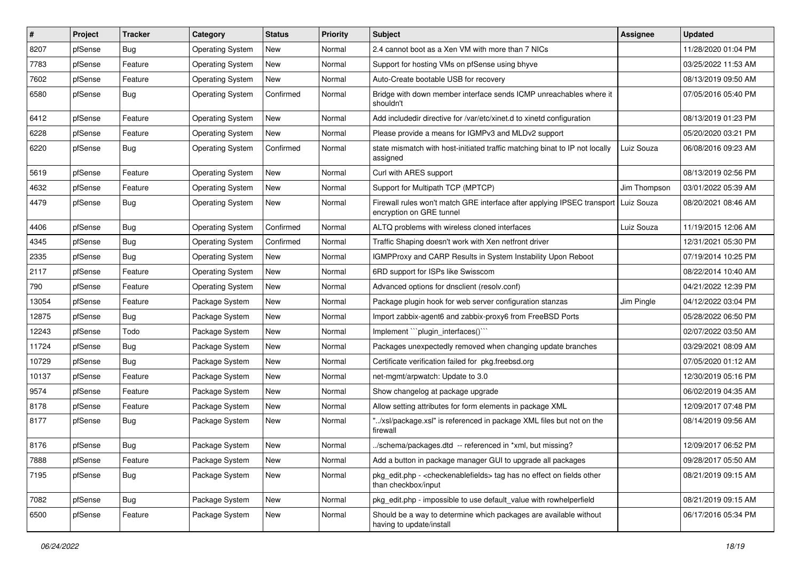| #     | Project | <b>Tracker</b> | Category                | <b>Status</b> | <b>Priority</b> | <b>Subject</b>                                                                                                   | <b>Assignee</b> | <b>Updated</b>      |
|-------|---------|----------------|-------------------------|---------------|-----------------|------------------------------------------------------------------------------------------------------------------|-----------------|---------------------|
| 8207  | pfSense | <b>Bug</b>     | <b>Operating System</b> | New           | Normal          | 2.4 cannot boot as a Xen VM with more than 7 NICs                                                                |                 | 11/28/2020 01:04 PM |
| 7783  | pfSense | Feature        | <b>Operating System</b> | New           | Normal          | Support for hosting VMs on pfSense using bhyve                                                                   |                 | 03/25/2022 11:53 AM |
| 7602  | pfSense | Feature        | <b>Operating System</b> | New           | Normal          | Auto-Create bootable USB for recovery                                                                            |                 | 08/13/2019 09:50 AM |
| 6580  | pfSense | <b>Bug</b>     | <b>Operating System</b> | Confirmed     | Normal          | Bridge with down member interface sends ICMP unreachables where it<br>shouldn't                                  |                 | 07/05/2016 05:40 PM |
| 6412  | pfSense | Feature        | <b>Operating System</b> | New           | Normal          | Add includedir directive for /var/etc/xinet.d to xinetd configuration                                            |                 | 08/13/2019 01:23 PM |
| 6228  | pfSense | Feature        | <b>Operating System</b> | New           | Normal          | Please provide a means for IGMPv3 and MLDv2 support                                                              |                 | 05/20/2020 03:21 PM |
| 6220  | pfSense | <b>Bug</b>     | <b>Operating System</b> | Confirmed     | Normal          | state mismatch with host-initiated traffic matching binat to IP not locally<br>assigned                          | Luiz Souza      | 06/08/2016 09:23 AM |
| 5619  | pfSense | Feature        | <b>Operating System</b> | New           | Normal          | Curl with ARES support                                                                                           |                 | 08/13/2019 02:56 PM |
| 4632  | pfSense | Feature        | <b>Operating System</b> | New           | Normal          | Support for Multipath TCP (MPTCP)                                                                                | Jim Thompson    | 03/01/2022 05:39 AM |
| 4479  | pfSense | <b>Bug</b>     | <b>Operating System</b> | New           | Normal          | Firewall rules won't match GRE interface after applying IPSEC transport   Luiz Souza<br>encryption on GRE tunnel |                 | 08/20/2021 08:46 AM |
| 4406  | pfSense | <b>Bug</b>     | <b>Operating System</b> | Confirmed     | Normal          | ALTQ problems with wireless cloned interfaces                                                                    | Luiz Souza      | 11/19/2015 12:06 AM |
| 4345  | pfSense | <b>Bug</b>     | <b>Operating System</b> | Confirmed     | Normal          | Traffic Shaping doesn't work with Xen netfront driver                                                            |                 | 12/31/2021 05:30 PM |
| 2335  | pfSense | Bug            | <b>Operating System</b> | New           | Normal          | IGMPProxy and CARP Results in System Instability Upon Reboot                                                     |                 | 07/19/2014 10:25 PM |
| 2117  | pfSense | Feature        | <b>Operating System</b> | New           | Normal          | 6RD support for ISPs like Swisscom                                                                               |                 | 08/22/2014 10:40 AM |
| 790   | pfSense | Feature        | <b>Operating System</b> | New           | Normal          | Advanced options for dnsclient (resolv.conf)                                                                     |                 | 04/21/2022 12:39 PM |
| 13054 | pfSense | Feature        | Package System          | New           | Normal          | Package plugin hook for web server configuration stanzas                                                         | Jim Pingle      | 04/12/2022 03:04 PM |
| 12875 | pfSense | Bug            | Package System          | New           | Normal          | Import zabbix-agent6 and zabbix-proxy6 from FreeBSD Ports                                                        |                 | 05/28/2022 06:50 PM |
| 12243 | pfSense | Todo           | Package System          | New           | Normal          | Implement "``plugin_interfaces()`"                                                                               |                 | 02/07/2022 03:50 AM |
| 11724 | pfSense | <b>Bug</b>     | Package System          | New           | Normal          | Packages unexpectedly removed when changing update branches                                                      |                 | 03/29/2021 08:09 AM |
| 10729 | pfSense | Bug            | Package System          | New           | Normal          | Certificate verification failed for pkg.freebsd.org                                                              |                 | 07/05/2020 01:12 AM |
| 10137 | pfSense | Feature        | Package System          | New           | Normal          | net-mgmt/arpwatch: Update to 3.0                                                                                 |                 | 12/30/2019 05:16 PM |
| 9574  | pfSense | Feature        | Package System          | New           | Normal          | Show changelog at package upgrade                                                                                |                 | 06/02/2019 04:35 AM |
| 8178  | pfSense | Feature        | Package System          | New           | Normal          | Allow setting attributes for form elements in package XML                                                        |                 | 12/09/2017 07:48 PM |
| 8177  | pfSense | <b>Bug</b>     | Package System          | New           | Normal          | "/xsl/package.xsl" is referenced in package XML files but not on the<br>firewall                                 |                 | 08/14/2019 09:56 AM |
| 8176  | pfSense | Bug            | Package System          | New           | Normal          | ./schema/packages.dtd -- referenced in *xml, but missing?                                                        |                 | 12/09/2017 06:52 PM |
| 7888  | pfSense | Feature        | Package System          | New           | Normal          | Add a button in package manager GUI to upgrade all packages                                                      |                 | 09/28/2017 05:50 AM |
| 7195  | pfSense | <b>Bug</b>     | Package System          | New           | Normal          | pkg_edit.php - < checkenablefields > tag has no effect on fields other<br>than checkbox/input                    |                 | 08/21/2019 09:15 AM |
| 7082  | pfSense | <b>Bug</b>     | Package System          | New           | Normal          | pkg_edit.php - impossible to use default_value with rowhelperfield                                               |                 | 08/21/2019 09:15 AM |
| 6500  | pfSense | Feature        | Package System          | New           | Normal          | Should be a way to determine which packages are available without<br>having to update/install                    |                 | 06/17/2016 05:34 PM |